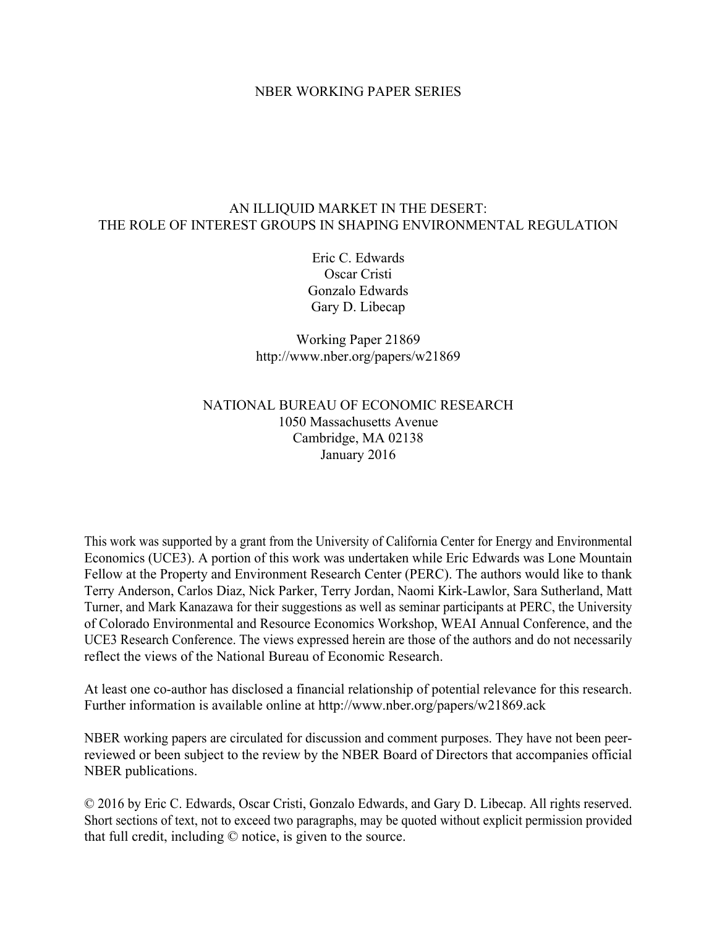## NBER WORKING PAPER SERIES

## AN ILLIQUID MARKET IN THE DESERT: THE ROLE OF INTEREST GROUPS IN SHAPING ENVIRONMENTAL REGULATION

Eric C. Edwards Oscar Cristi Gonzalo Edwards Gary D. Libecap

Working Paper 21869 http://www.nber.org/papers/w21869

## NATIONAL BUREAU OF ECONOMIC RESEARCH 1050 Massachusetts Avenue Cambridge, MA 02138 January 2016

This work was supported by a grant from the University of California Center for Energy and Environmental Economics (UCE3). A portion of this work was undertaken while Eric Edwards was Lone Mountain Fellow at the Property and Environment Research Center (PERC). The authors would like to thank Terry Anderson, Carlos Diaz, Nick Parker, Terry Jordan, Naomi Kirk-Lawlor, Sara Sutherland, Matt Turner, and Mark Kanazawa for their suggestions as well as seminar participants at PERC, the University of Colorado Environmental and Resource Economics Workshop, WEAI Annual Conference, and the UCE3 Research Conference. The views expressed herein are those of the authors and do not necessarily reflect the views of the National Bureau of Economic Research.

At least one co-author has disclosed a financial relationship of potential relevance for this research. Further information is available online at http://www.nber.org/papers/w21869.ack

NBER working papers are circulated for discussion and comment purposes. They have not been peerreviewed or been subject to the review by the NBER Board of Directors that accompanies official NBER publications.

© 2016 by Eric C. Edwards, Oscar Cristi, Gonzalo Edwards, and Gary D. Libecap. All rights reserved. Short sections of text, not to exceed two paragraphs, may be quoted without explicit permission provided that full credit, including © notice, is given to the source.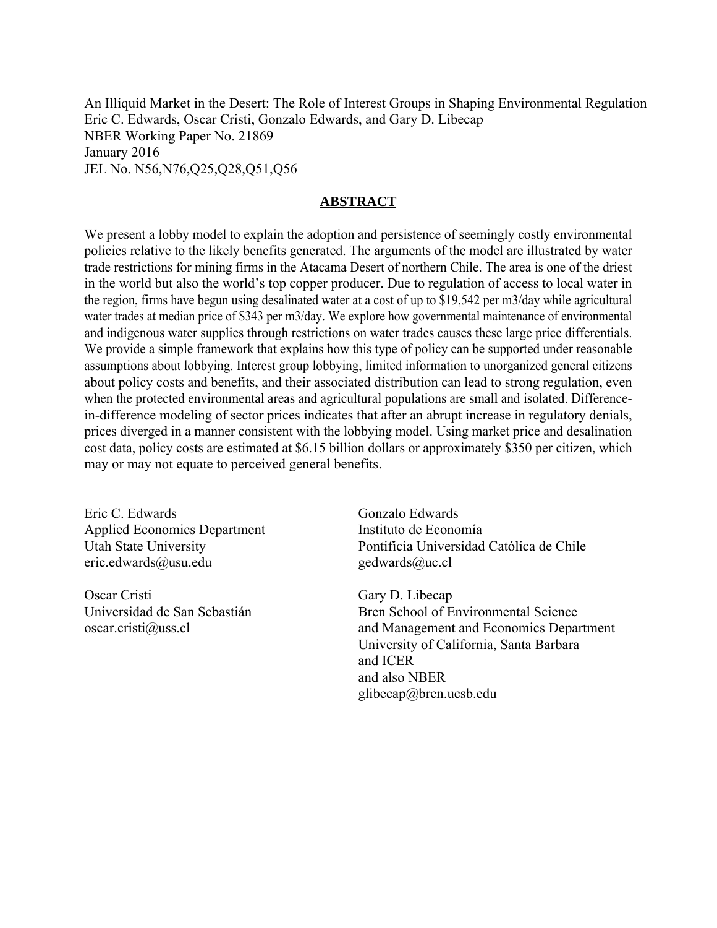An Illiquid Market in the Desert: The Role of Interest Groups in Shaping Environmental Regulation Eric C. Edwards, Oscar Cristi, Gonzalo Edwards, and Gary D. Libecap NBER Working Paper No. 21869 January 2016 JEL No. N56,N76,Q25,Q28,Q51,Q56

## **ABSTRACT**

We present a lobby model to explain the adoption and persistence of seemingly costly environmental policies relative to the likely benefits generated. The arguments of the model are illustrated by water trade restrictions for mining firms in the Atacama Desert of northern Chile. The area is one of the driest in the world but also the world's top copper producer. Due to regulation of access to local water in the region, firms have begun using desalinated water at a cost of up to \$19,542 per m3/day while agricultural water trades at median price of \$343 per m3/day. We explore how governmental maintenance of environmental and indigenous water supplies through restrictions on water trades causes these large price differentials. We provide a simple framework that explains how this type of policy can be supported under reasonable assumptions about lobbying. Interest group lobbying, limited information to unorganized general citizens about policy costs and benefits, and their associated distribution can lead to strong regulation, even when the protected environmental areas and agricultural populations are small and isolated. Differencein-difference modeling of sector prices indicates that after an abrupt increase in regulatory denials, prices diverged in a manner consistent with the lobbying model. Using market price and desalination cost data, policy costs are estimated at \$6.15 billion dollars or approximately \$350 per citizen, which may or may not equate to perceived general benefits.

Eric C. Edwards Applied Economics Department Utah State University eric.edwards@usu.edu

Oscar Cristi Universidad de San Sebastián oscar.cristi@uss.cl

Gonzalo Edwards Instituto de Economía Pontificia Universidad Católica de Chile gedwards@uc.cl

Gary D. Libecap Bren School of Environmental Science and Management and Economics Department University of California, Santa Barbara and ICER and also NBER glibecap@bren.ucsb.edu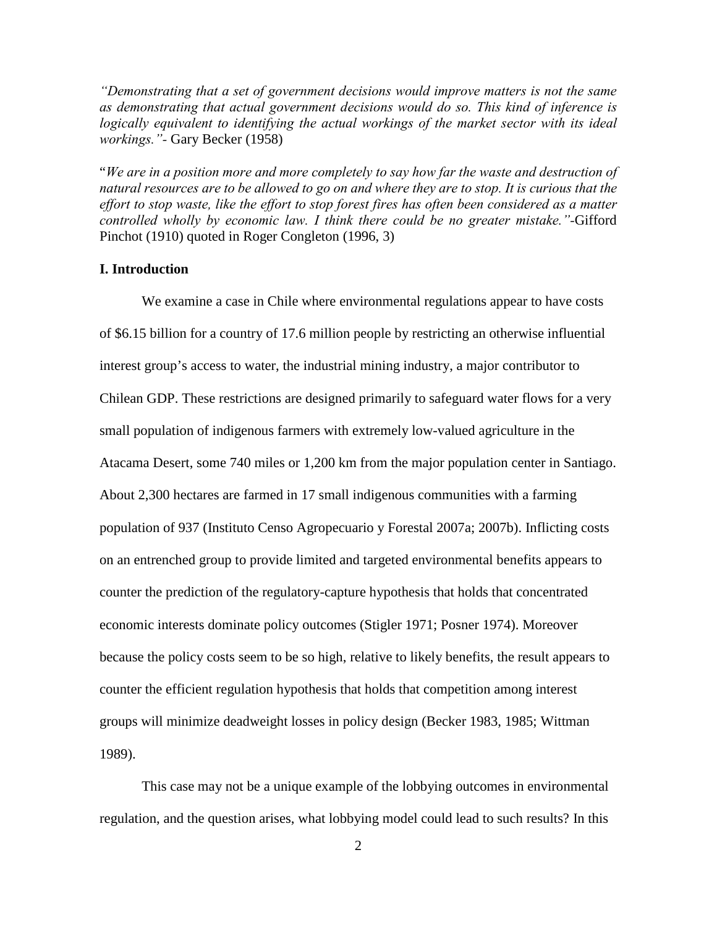*"Demonstrating that a set of government decisions would improve matters is not the same as demonstrating that actual government decisions would do so. This kind of inference is logically equivalent to identifying the actual workings of the market sector with its ideal workings."-* Gary Becker (1958)

"*We are in a position more and more completely to say how far the waste and destruction of natural resources are to be allowed to go on and where they are to stop. It is curious that the effort to stop waste, like the effort to stop forest fires has often been considered as a matter controlled wholly by economic law. I think there could be no greater mistake."-*Gifford Pinchot (1910) quoted in Roger Congleton (1996, 3)

## **I. Introduction**

We examine a case in Chile where environmental regulations appear to have costs of \$6.15 billion for a country of 17.6 million people by restricting an otherwise influential interest group's access to water, the industrial mining industry, a major contributor to Chilean GDP. These restrictions are designed primarily to safeguard water flows for a very small population of indigenous farmers with extremely low-valued agriculture in the Atacama Desert, some 740 miles or 1,200 km from the major population center in Santiago. About 2,300 hectares are farmed in 17 small indigenous communities with a farming population of 937 (Instituto Censo Agropecuario y Forestal 2007a; 2007b). Inflicting costs on an entrenched group to provide limited and targeted environmental benefits appears to counter the prediction of the regulatory-capture hypothesis that holds that concentrated economic interests dominate policy outcomes (Stigler 1971; Posner 1974). Moreover because the policy costs seem to be so high, relative to likely benefits, the result appears to counter the efficient regulation hypothesis that holds that competition among interest groups will minimize deadweight losses in policy design (Becker 1983, 1985; Wittman 1989).

This case may not be a unique example of the lobbying outcomes in environmental regulation, and the question arises, what lobbying model could lead to such results? In this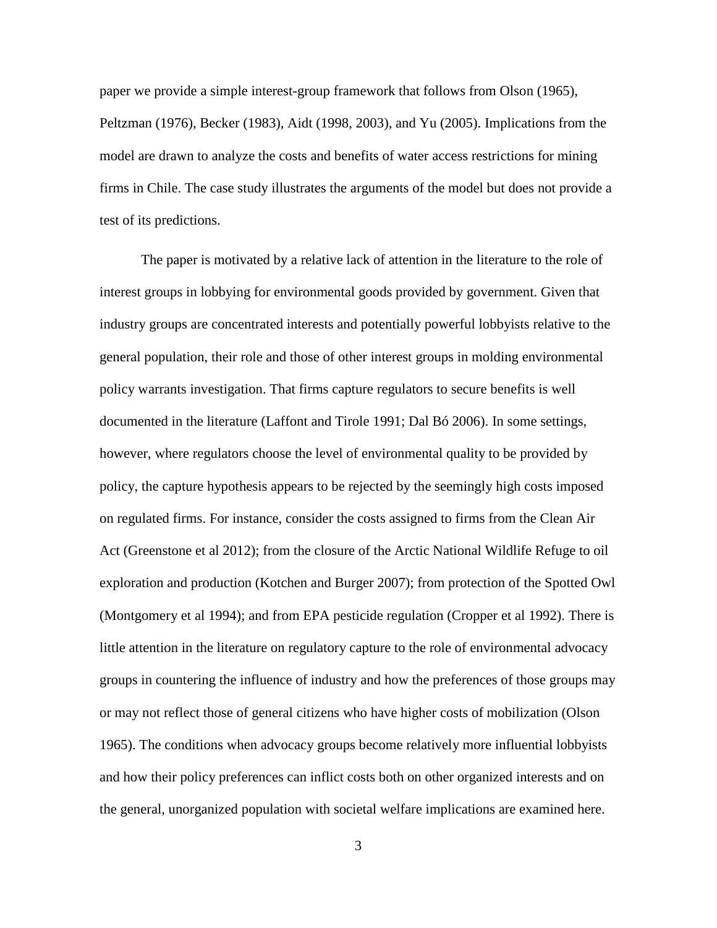paper we provide a simple interest-group framework that follows from Olson (1965), Peltzman (1976), Becker (1983), Aidt (1998, 2003), and Yu (2005). Implications from the model are drawn to analyze the costs and benefits of water access restrictions for mining firms in Chile. The case study illustrates the arguments of the model but does not provide a test of its predictions.

The paper is motivated by a relative lack of attention in the literature to the role of interest groups in lobbying for environmental goods provided by government. Given that industry groups are concentrated interests and potentially powerful lobbyists relative to the general population, their role and those of other interest groups in molding environmental policy warrants investigation. That firms capture regulators to secure benefits is well documented in the literature (Laffont and Tirole 1991; Dal Bó 2006). In some settings, however, where regulators choose the level of environmental quality to be provided by policy, the capture hypothesis appears to be rejected by the seemingly high costs imposed on regulated firms. For instance, consider the costs assigned to firms from the Clean Air Act (Greenstone et al 2012); from the closure of the Arctic National Wildlife Refuge to oil exploration and production (Kotchen and Burger 2007); from protection of the Spotted Owl (Montgomery et al 1994); and from EPA pesticide regulation (Cropper et al 1992). There is little attention in the literature on regulatory capture to the role of environmental advocacy groups in countering the influence of industry and how the preferences of those groups may or may not reflect those of general citizens who have higher costs of mobilization (Olson 1965). The conditions when advocacy groups become relatively more influential lobbyists and how their policy preferences can inflict costs both on other organized interests and on the general, unorganized population with societal welfare implications are examined here.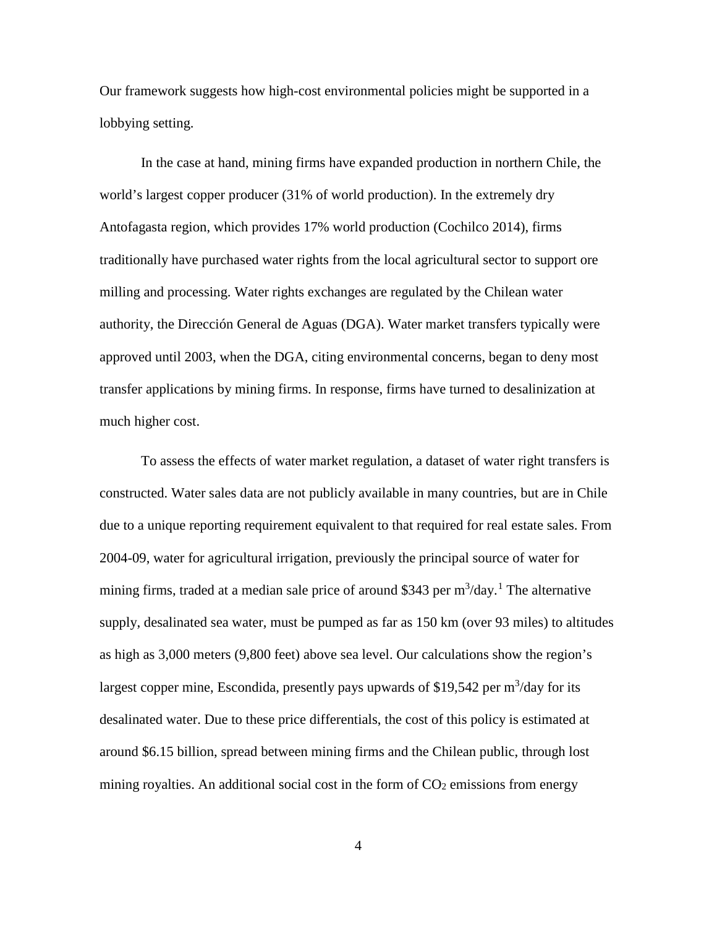Our framework suggests how high-cost environmental policies might be supported in a lobbying setting.

In the case at hand, mining firms have expanded production in northern Chile, the world's largest copper producer (31% of world production). In the extremely dry Antofagasta region, which provides 17% world production (Cochilco 2014), firms traditionally have purchased water rights from the local agricultural sector to support ore milling and processing. Water rights exchanges are regulated by the Chilean water authority, the Dirección General de Aguas (DGA). Water market transfers typically were approved until 2003, when the DGA, citing environmental concerns, began to deny most transfer applications by mining firms. In response, firms have turned to desalinization at much higher cost.

To assess the effects of water market regulation, a dataset of water right transfers is constructed. Water sales data are not publicly available in many countries, but are in Chile due to a unique reporting requirement equivalent to that required for real estate sales. From 2004-09, water for agricultural irrigation, previously the principal source of water for mining firms, traded at a median sale price of around \$343 per  $m^3$ /day.<sup>[1](#page-45-0)</sup> The alternative supply, desalinated sea water, must be pumped as far as 150 km (over 93 miles) to altitudes as high as 3,000 meters (9,800 feet) above sea level. Our calculations show the region's largest copper mine, Escondida, presently pays upwards of \$19,542 per  $m^3$ /day for its desalinated water. Due to these price differentials, the cost of this policy is estimated at around \$6.15 billion, spread between mining firms and the Chilean public, through lost mining royalties. An additional social cost in the form of  $CO<sub>2</sub>$  emissions from energy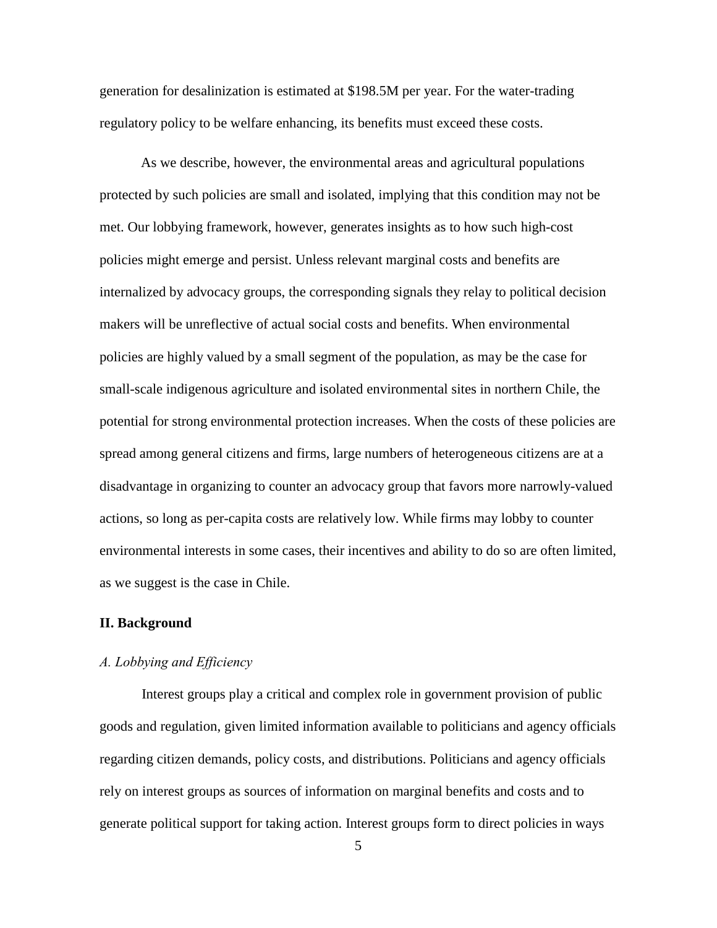generation for desalinization is estimated at \$198.5M per year. For the water-trading regulatory policy to be welfare enhancing, its benefits must exceed these costs.

As we describe, however, the environmental areas and agricultural populations protected by such policies are small and isolated, implying that this condition may not be met. Our lobbying framework, however, generates insights as to how such high-cost policies might emerge and persist. Unless relevant marginal costs and benefits are internalized by advocacy groups, the corresponding signals they relay to political decision makers will be unreflective of actual social costs and benefits. When environmental policies are highly valued by a small segment of the population, as may be the case for small-scale indigenous agriculture and isolated environmental sites in northern Chile, the potential for strong environmental protection increases. When the costs of these policies are spread among general citizens and firms, large numbers of heterogeneous citizens are at a disadvantage in organizing to counter an advocacy group that favors more narrowly-valued actions, so long as per-capita costs are relatively low. While firms may lobby to counter environmental interests in some cases, their incentives and ability to do so are often limited, as we suggest is the case in Chile.

### **II. Background**

#### *A. Lobbying and Efficiency*

 Interest groups play a critical and complex role in government provision of public goods and regulation, given limited information available to politicians and agency officials regarding citizen demands, policy costs, and distributions. Politicians and agency officials rely on interest groups as sources of information on marginal benefits and costs and to generate political support for taking action. Interest groups form to direct policies in ways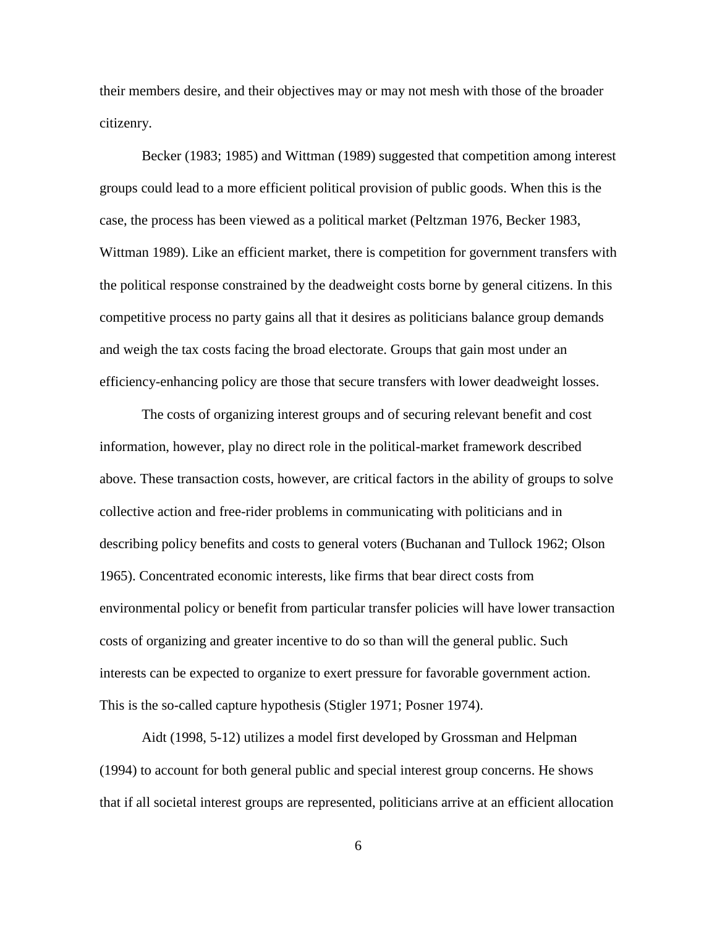their members desire, and their objectives may or may not mesh with those of the broader citizenry.

 Becker (1983; 1985) and Wittman (1989) suggested that competition among interest groups could lead to a more efficient political provision of public goods. When this is the case, the process has been viewed as a political market (Peltzman 1976, Becker 1983, Wittman 1989). Like an efficient market, there is competition for government transfers with the political response constrained by the deadweight costs borne by general citizens. In this competitive process no party gains all that it desires as politicians balance group demands and weigh the tax costs facing the broad electorate. Groups that gain most under an efficiency-enhancing policy are those that secure transfers with lower deadweight losses.

 The costs of organizing interest groups and of securing relevant benefit and cost information, however, play no direct role in the political-market framework described above. These transaction costs, however, are critical factors in the ability of groups to solve collective action and free-rider problems in communicating with politicians and in describing policy benefits and costs to general voters (Buchanan and Tullock 1962; Olson 1965). Concentrated economic interests, like firms that bear direct costs from environmental policy or benefit from particular transfer policies will have lower transaction costs of organizing and greater incentive to do so than will the general public. Such interests can be expected to organize to exert pressure for favorable government action. This is the so-called capture hypothesis (Stigler 1971; Posner 1974).

 Aidt (1998, 5-12) utilizes a model first developed by Grossman and Helpman (1994) to account for both general public and special interest group concerns. He shows that if all societal interest groups are represented, politicians arrive at an efficient allocation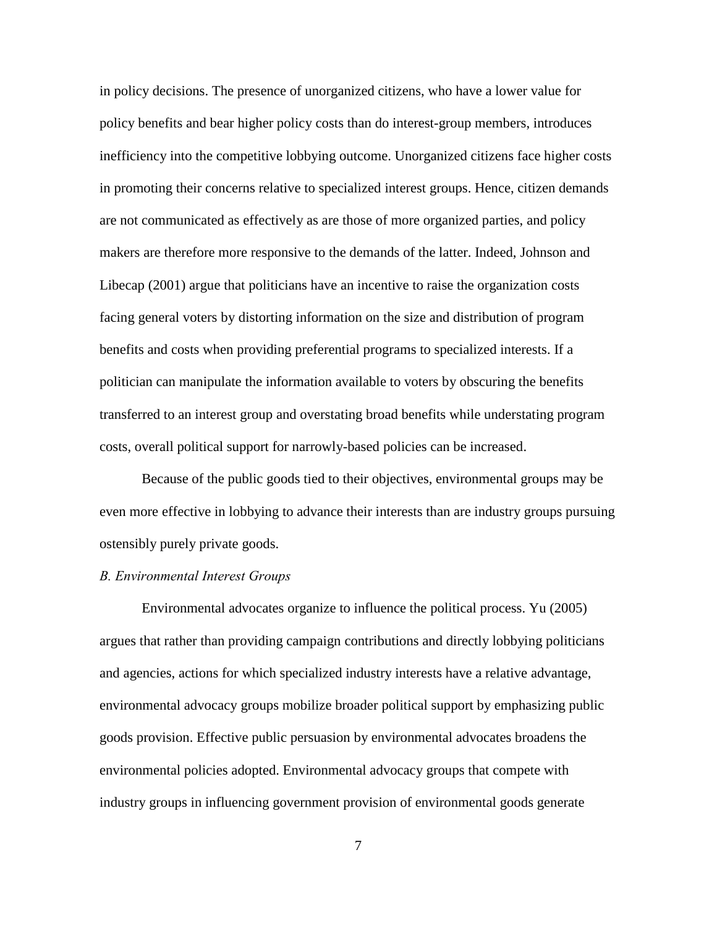in policy decisions. The presence of unorganized citizens, who have a lower value for policy benefits and bear higher policy costs than do interest-group members, introduces inefficiency into the competitive lobbying outcome. Unorganized citizens face higher costs in promoting their concerns relative to specialized interest groups. Hence, citizen demands are not communicated as effectively as are those of more organized parties, and policy makers are therefore more responsive to the demands of the latter. Indeed, Johnson and Libecap (2001) argue that politicians have an incentive to raise the organization costs facing general voters by distorting information on the size and distribution of program benefits and costs when providing preferential programs to specialized interests. If a politician can manipulate the information available to voters by obscuring the benefits transferred to an interest group and overstating broad benefits while understating program costs, overall political support for narrowly-based policies can be increased.

Because of the public goods tied to their objectives, environmental groups may be even more effective in lobbying to advance their interests than are industry groups pursuing ostensibly purely private goods.

## *B. Environmental Interest Groups*

 Environmental advocates organize to influence the political process. Yu (2005) argues that rather than providing campaign contributions and directly lobbying politicians and agencies, actions for which specialized industry interests have a relative advantage, environmental advocacy groups mobilize broader political support by emphasizing public goods provision. Effective public persuasion by environmental advocates broadens the environmental policies adopted. Environmental advocacy groups that compete with industry groups in influencing government provision of environmental goods generate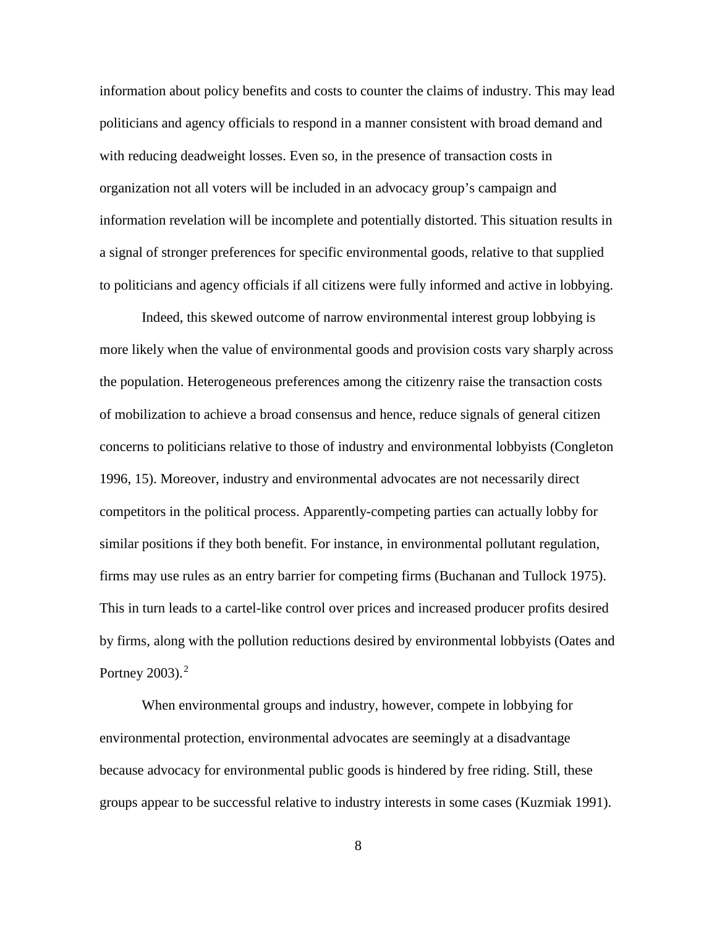information about policy benefits and costs to counter the claims of industry. This may lead politicians and agency officials to respond in a manner consistent with broad demand and with reducing deadweight losses. Even so, in the presence of transaction costs in organization not all voters will be included in an advocacy group's campaign and information revelation will be incomplete and potentially distorted. This situation results in a signal of stronger preferences for specific environmental goods, relative to that supplied to politicians and agency officials if all citizens were fully informed and active in lobbying.

Indeed, this skewed outcome of narrow environmental interest group lobbying is more likely when the value of environmental goods and provision costs vary sharply across the population. Heterogeneous preferences among the citizenry raise the transaction costs of mobilization to achieve a broad consensus and hence, reduce signals of general citizen concerns to politicians relative to those of industry and environmental lobbyists (Congleton 1996, 15). Moreover, industry and environmental advocates are not necessarily direct competitors in the political process. Apparently-competing parties can actually lobby for similar positions if they both benefit. For instance, in environmental pollutant regulation, firms may use rules as an entry barrier for competing firms (Buchanan and Tullock 1975). This in turn leads to a cartel-like control over prices and increased producer profits desired by firms, along with the pollution reductions desired by environmental lobbyists (Oates and Portney  $2003$  $2003$ ).<sup>2</sup>

When environmental groups and industry, however, compete in lobbying for environmental protection, environmental advocates are seemingly at a disadvantage because advocacy for environmental public goods is hindered by free riding. Still, these groups appear to be successful relative to industry interests in some cases (Kuzmiak 1991).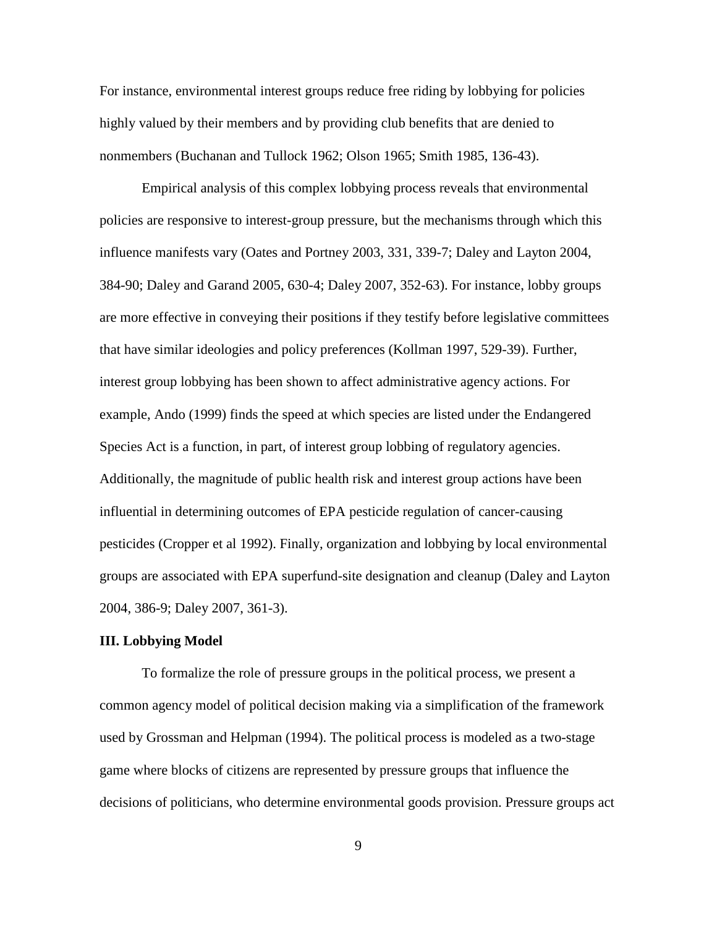For instance, environmental interest groups reduce free riding by lobbying for policies highly valued by their members and by providing club benefits that are denied to nonmembers (Buchanan and Tullock 1962; Olson 1965; Smith 1985, 136-43).

Empirical analysis of this complex lobbying process reveals that environmental policies are responsive to interest-group pressure, but the mechanisms through which this influence manifests vary (Oates and Portney 2003, 331, 339-7; Daley and Layton 2004, 384-90; Daley and Garand 2005, 630-4; Daley 2007, 352-63). For instance, lobby groups are more effective in conveying their positions if they testify before legislative committees that have similar ideologies and policy preferences (Kollman 1997, 529-39). Further, interest group lobbying has been shown to affect administrative agency actions. For example, Ando (1999) finds the speed at which species are listed under the Endangered Species Act is a function, in part, of interest group lobbing of regulatory agencies. Additionally, the magnitude of public health risk and interest group actions have been influential in determining outcomes of EPA pesticide regulation of cancer-causing pesticides (Cropper et al 1992). Finally, organization and lobbying by local environmental groups are associated with EPA superfund-site designation and cleanup (Daley and Layton 2004, 386-9; Daley 2007, 361-3).

## **III. Lobbying Model**

 To formalize the role of pressure groups in the political process, we present a common agency model of political decision making via a simplification of the framework used by Grossman and Helpman (1994). The political process is modeled as a two-stage game where blocks of citizens are represented by pressure groups that influence the decisions of politicians, who determine environmental goods provision. Pressure groups act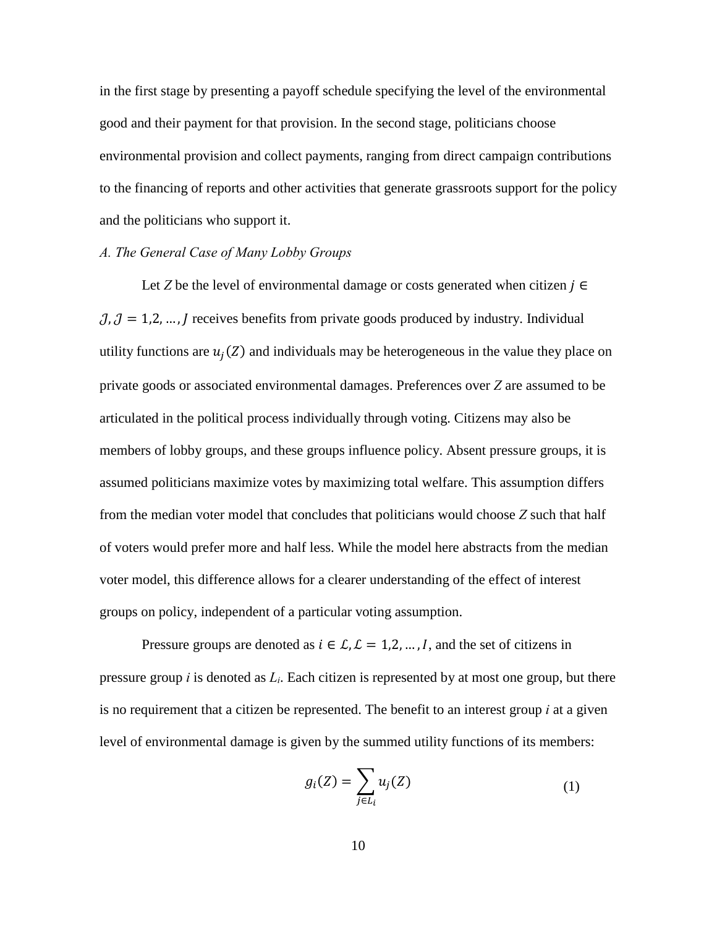in the first stage by presenting a payoff schedule specifying the level of the environmental good and their payment for that provision. In the second stage, politicians choose environmental provision and collect payments, ranging from direct campaign contributions to the financing of reports and other activities that generate grassroots support for the policy and the politicians who support it.

#### *A. The General Case of Many Lobby Groups*

Let *Z* be the level of environmental damage or costs generated when citizen  $j \in$  $J, J = 1, 2, \dots, J$  receives benefits from private goods produced by industry. Individual utility functions are  $u_i(Z)$  and individuals may be heterogeneous in the value they place on private goods or associated environmental damages. Preferences over *Z* are assumed to be articulated in the political process individually through voting. Citizens may also be members of lobby groups, and these groups influence policy. Absent pressure groups, it is assumed politicians maximize votes by maximizing total welfare. This assumption differs from the median voter model that concludes that politicians would choose *Z* such that half of voters would prefer more and half less. While the model here abstracts from the median voter model, this difference allows for a clearer understanding of the effect of interest groups on policy, independent of a particular voting assumption.

Pressure groups are denoted as  $i \in \mathcal{L}, \mathcal{L} = 1, 2, ..., I$ , and the set of citizens in pressure group *i* is denoted as *Li*. Each citizen is represented by at most one group, but there is no requirement that a citizen be represented. The benefit to an interest group *i* at a given level of environmental damage is given by the summed utility functions of its members:

$$
g_i(Z) = \sum_{j \in L_i} u_j(Z) \tag{1}
$$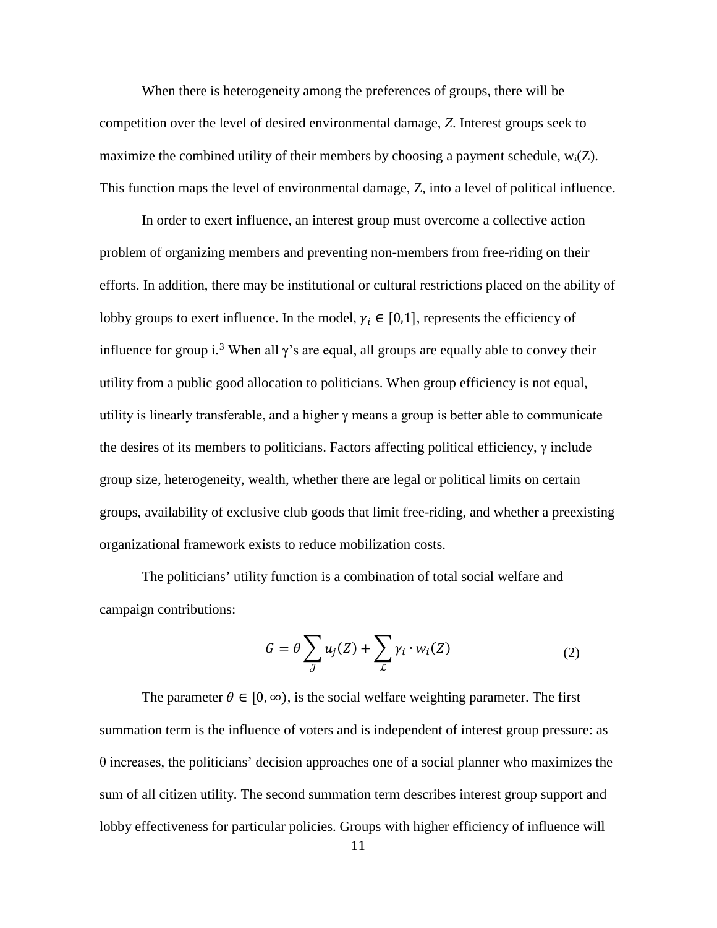When there is heterogeneity among the preferences of groups, there will be competition over the level of desired environmental damage, *Z*. Interest groups seek to maximize the combined utility of their members by choosing a payment schedule,  $w_i(Z)$ . This function maps the level of environmental damage, Z, into a level of political influence.

In order to exert influence, an interest group must overcome a collective action problem of organizing members and preventing non-members from free-riding on their efforts. In addition, there may be institutional or cultural restrictions placed on the ability of lobby groups to exert influence. In the model,  $\gamma_i \in [0,1]$ , represents the efficiency of influence for group i.<sup>[3](#page-46-0)</sup> When all  $\gamma$ 's are equal, all groups are equally able to convey their utility from a public good allocation to politicians. When group efficiency is not equal, utility is linearly transferable, and a higher  $\gamma$  means a group is better able to communicate the desires of its members to politicians. Factors affecting political efficiency,  $\gamma$  include group size, heterogeneity, wealth, whether there are legal or political limits on certain groups, availability of exclusive club goods that limit free-riding, and whether a preexisting organizational framework exists to reduce mobilization costs.

The politicians' utility function is a combination of total social welfare and campaign contributions:

$$
G = \theta \sum_{j} u_j(Z) + \sum_{L} \gamma_i \cdot w_i(Z) \tag{2}
$$

The parameter  $\theta \in [0, \infty)$ , is the social welfare weighting parameter. The first summation term is the influence of voters and is independent of interest group pressure: as θ increases, the politicians' decision approaches one of a social planner who maximizes the sum of all citizen utility. The second summation term describes interest group support and lobby effectiveness for particular policies. Groups with higher efficiency of influence will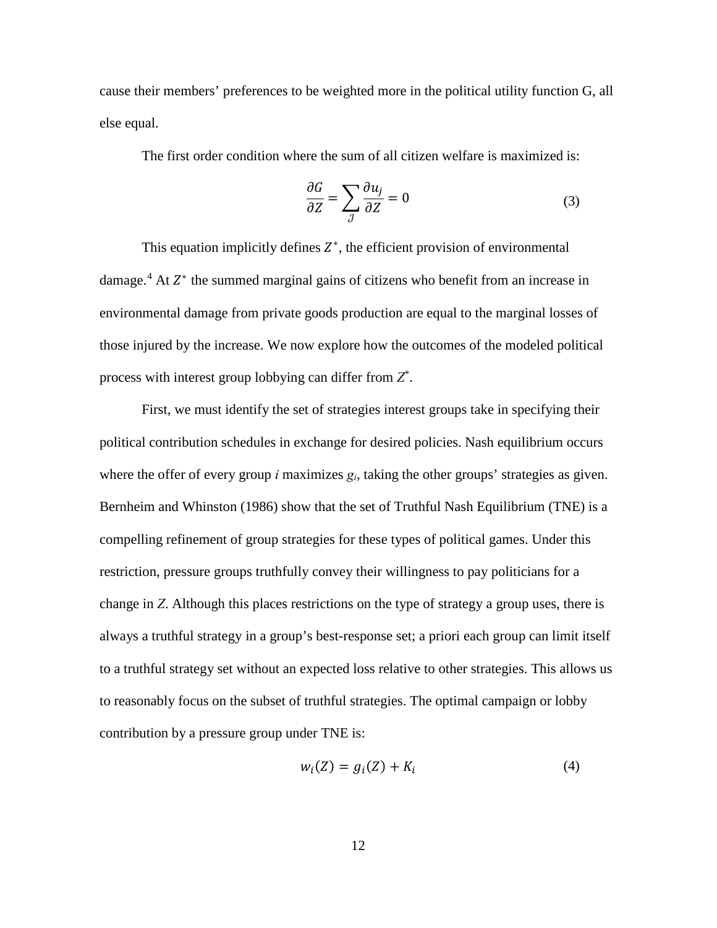cause their members' preferences to be weighted more in the political utility function G, all else equal.

The first order condition where the sum of all citizen welfare is maximized is:

$$
\frac{\partial G}{\partial Z} = \sum_{J} \frac{\partial u_j}{\partial Z} = 0 \tag{3}
$$

This equation implicitly defines  $Z^*$ , the efficient provision of environmental damage.<sup>[4](#page-47-0)</sup> At  $Z^*$  the summed marginal gains of citizens who benefit from an increase in environmental damage from private goods production are equal to the marginal losses of those injured by the increase. We now explore how the outcomes of the modeled political process with interest group lobbying can differ from *Z*\* .

First, we must identify the set of strategies interest groups take in specifying their political contribution schedules in exchange for desired policies. Nash equilibrium occurs where the offer of every group *i* maximizes *gi*, taking the other groups' strategies as given. Bernheim and Whinston (1986) show that the set of Truthful Nash Equilibrium (TNE) is a compelling refinement of group strategies for these types of political games. Under this restriction, pressure groups truthfully convey their willingness to pay politicians for a change in *Z*. Although this places restrictions on the type of strategy a group uses, there is always a truthful strategy in a group's best-response set; a priori each group can limit itself to a truthful strategy set without an expected loss relative to other strategies. This allows us to reasonably focus on the subset of truthful strategies. The optimal campaign or lobby contribution by a pressure group under TNE is:

$$
w_i(Z) = g_i(Z) + K_i \tag{4}
$$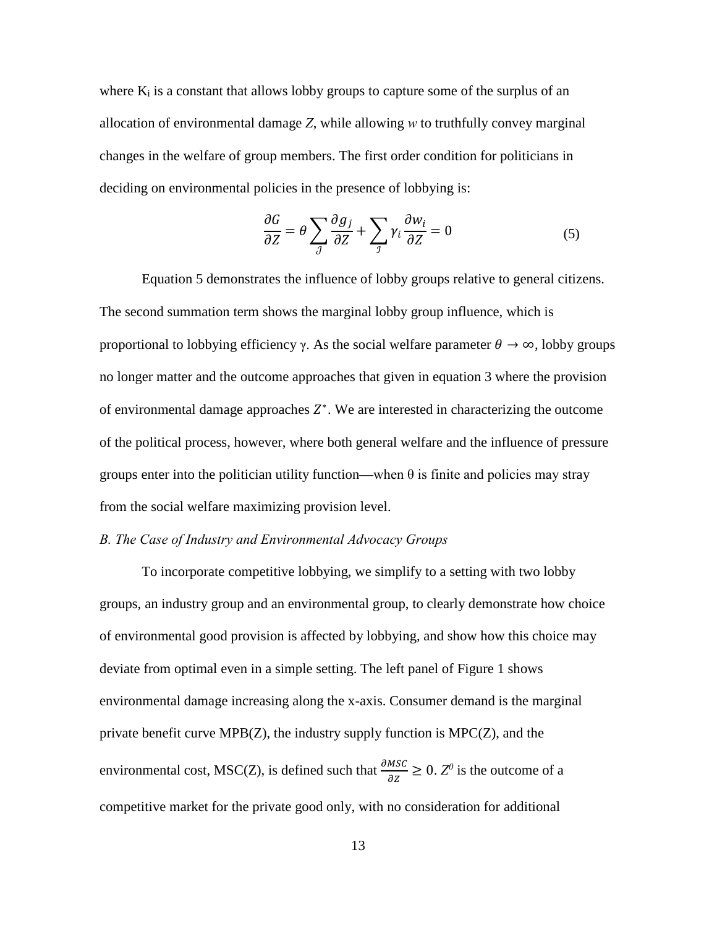where  $K_i$  is a constant that allows lobby groups to capture some of the surplus of an allocation of environmental damage *Z*, while allowing *w* to truthfully convey marginal changes in the welfare of group members. The first order condition for politicians in deciding on environmental policies in the presence of lobbying is:

$$
\frac{\partial G}{\partial Z} = \theta \sum_{J} \frac{\partial g_j}{\partial Z} + \sum_{J} \gamma_i \frac{\partial w_i}{\partial Z} = 0
$$
 (5)

 Equation 5 demonstrates the influence of lobby groups relative to general citizens. The second summation term shows the marginal lobby group influence, which is proportional to lobbying efficiency γ. As the social welfare parameter  $θ \rightarrow ∞$ , lobby groups no longer matter and the outcome approaches that given in equation 3 where the provision of environmental damage approaches  $Z^*$ . We are interested in characterizing the outcome of the political process, however, where both general welfare and the influence of pressure groups enter into the politician utility function—when  $\theta$  is finite and policies may stray from the social welfare maximizing provision level.

## *B. The Case of Industry and Environmental Advocacy Groups*

 To incorporate competitive lobbying, we simplify to a setting with two lobby groups, an industry group and an environmental group, to clearly demonstrate how choice of environmental good provision is affected by lobbying, and show how this choice may deviate from optimal even in a simple setting. The left panel of Figure 1 shows environmental damage increasing along the x-axis. Consumer demand is the marginal private benefit curve MPB(Z), the industry supply function is MPC(Z), and the environmental cost, MSC(Z), is defined such that  $\frac{\partial MSE}{\partial Z} \ge 0$ .  $Z^0$  is the outcome of a competitive market for the private good only, with no consideration for additional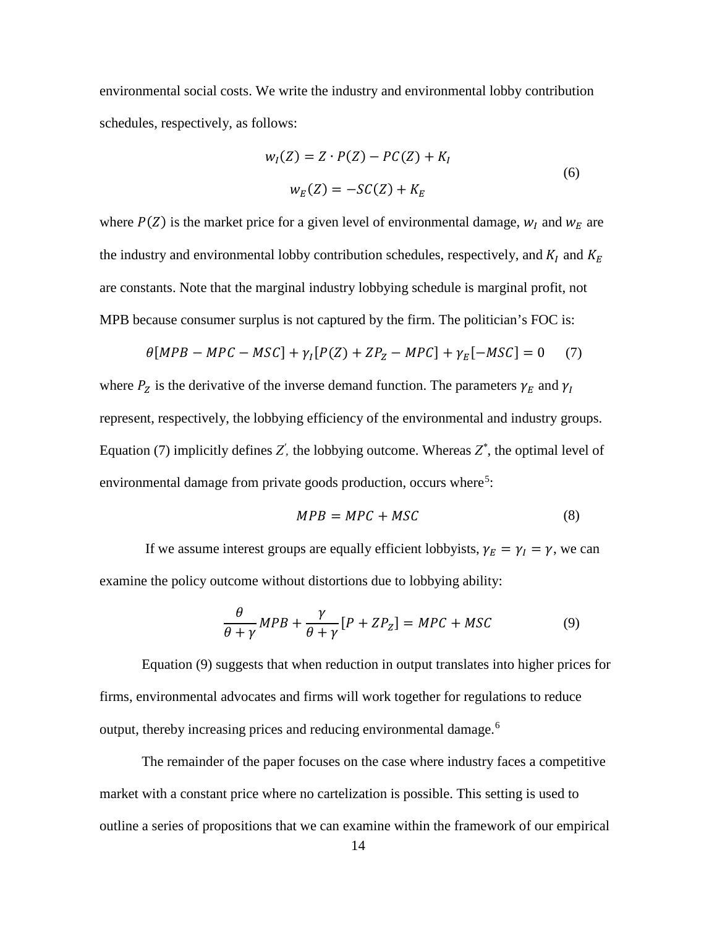environmental social costs. We write the industry and environmental lobby contribution schedules, respectively, as follows:

$$
w_I(Z) = Z \cdot P(Z) - PC(Z) + K_I
$$
  
\n
$$
w_E(Z) = -SC(Z) + K_E
$$
\n(6)

where  $P(Z)$  is the market price for a given level of environmental damage,  $w<sub>I</sub>$  and  $w<sub>E</sub>$  are the industry and environmental lobby contribution schedules, respectively, and  $K_I$  and  $K_E$ are constants. Note that the marginal industry lobbying schedule is marginal profit, not MPB because consumer surplus is not captured by the firm. The politician's FOC is:

$$
\theta[MPB - MPC - MSC] + \gamma_I[P(Z) + ZP_Z - MPC] + \gamma_E[-MSC] = 0 \tag{7}
$$

where  $P_Z$  is the derivative of the inverse demand function. The parameters  $\gamma_E$  and  $\gamma_I$ represent, respectively, the lobbying efficiency of the environmental and industry groups. Equation (7) implicitly defines  $Z'$ , the lobbying outcome. Whereas  $Z^*$ , the optimal level of environmental damage from private goods production, occurs where<sup>[5](#page-47-1)</sup>:

$$
MPB = MPC + MSC \tag{8}
$$

If we assume interest groups are equally efficient lobbyists,  $\gamma_E = \gamma_I = \gamma$ , we can examine the policy outcome without distortions due to lobbying ability:

$$
\frac{\theta}{\theta + \gamma} MPB + \frac{\gamma}{\theta + \gamma} [P + ZP_Z] = MPC + MSC \tag{9}
$$

Equation (9) suggests that when reduction in output translates into higher prices for firms, environmental advocates and firms will work together for regulations to reduce output, thereby increasing prices and reducing environmental damage.[6](#page-47-2)

The remainder of the paper focuses on the case where industry faces a competitive market with a constant price where no cartelization is possible. This setting is used to outline a series of propositions that we can examine within the framework of our empirical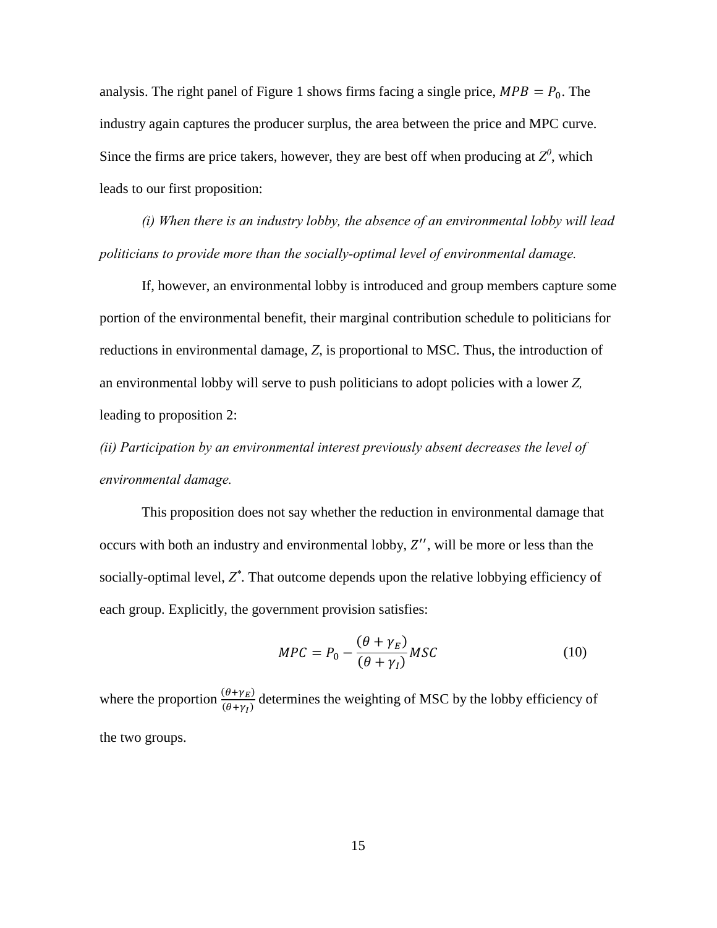analysis. The right panel of Figure 1 shows firms facing a single price,  $MPB = P_0$ . The industry again captures the producer surplus, the area between the price and MPC curve. Since the firms are price takers, however, they are best off when producing at  $Z^0$ , which leads to our first proposition:

*(i) When there is an industry lobby, the absence of an environmental lobby will lead politicians to provide more than the socially-optimal level of environmental damage.*

If, however, an environmental lobby is introduced and group members capture some portion of the environmental benefit, their marginal contribution schedule to politicians for reductions in environmental damage, *Z*, is proportional to MSC. Thus, the introduction of an environmental lobby will serve to push politicians to adopt policies with a lower *Z,* leading to proposition 2:

*(ii) Participation by an environmental interest previously absent decreases the level of environmental damage.* 

This proposition does not say whether the reduction in environmental damage that occurs with both an industry and environmental lobby,  $Z''$ , will be more or less than the socially-optimal level, *Z\** . That outcome depends upon the relative lobbying efficiency of each group. Explicitly, the government provision satisfies:

$$
MPC = P_0 - \frac{(\theta + \gamma_E)}{(\theta + \gamma_I)} MSC \tag{10}
$$

where the proportion  $\frac{(\theta + \gamma_E)}{(\theta + \gamma_E)}$  $(\theta+\gamma_I)$  determines the weighting of MSC by the lobby efficiency of the two groups.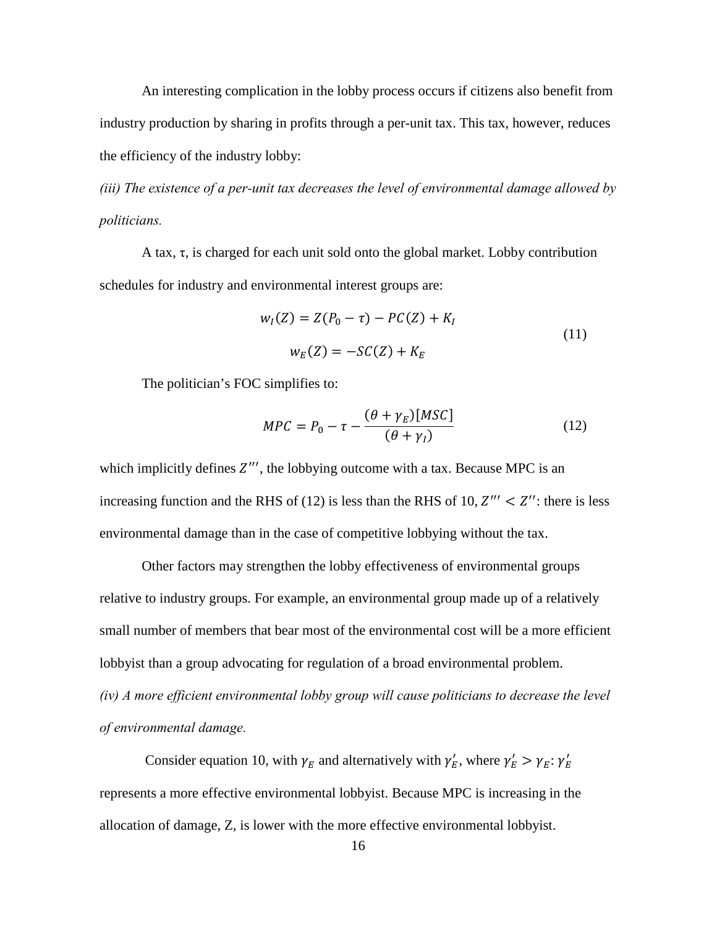An interesting complication in the lobby process occurs if citizens also benefit from industry production by sharing in profits through a per-unit tax. This tax, however, reduces the efficiency of the industry lobby:

*(iii) The existence of a per-unit tax decreases the level of environmental damage allowed by politicians.*

A tax, τ, is charged for each unit sold onto the global market. Lobby contribution schedules for industry and environmental interest groups are:

$$
w_I(Z) = Z(P_0 - \tau) - PC(Z) + K_I
$$
  
\n
$$
w_E(Z) = -SC(Z) + K_E
$$
\n(11)

The politician's FOC simplifies to:

$$
MPC = P_0 - \tau - \frac{(\theta + \gamma_E)[MSC]}{(\theta + \gamma_I)}
$$
(12)

which implicitly defines  $Z'''$ , the lobbying outcome with a tax. Because MPC is an increasing function and the RHS of (12) is less than the RHS of 10,  $Z''' < Z''$ : there is less environmental damage than in the case of competitive lobbying without the tax.

Other factors may strengthen the lobby effectiveness of environmental groups relative to industry groups. For example, an environmental group made up of a relatively small number of members that bear most of the environmental cost will be a more efficient lobbyist than a group advocating for regulation of a broad environmental problem. *(iv) A more efficient environmental lobby group will cause politicians to decrease the level of environmental damage.* 

Consider equation 10, with  $\gamma_E$  and alternatively with  $\gamma_E'$ , where  $\gamma_E' > \gamma_E$ :  $\gamma_E'$ represents a more effective environmental lobbyist. Because MPC is increasing in the allocation of damage, Z, is lower with the more effective environmental lobbyist.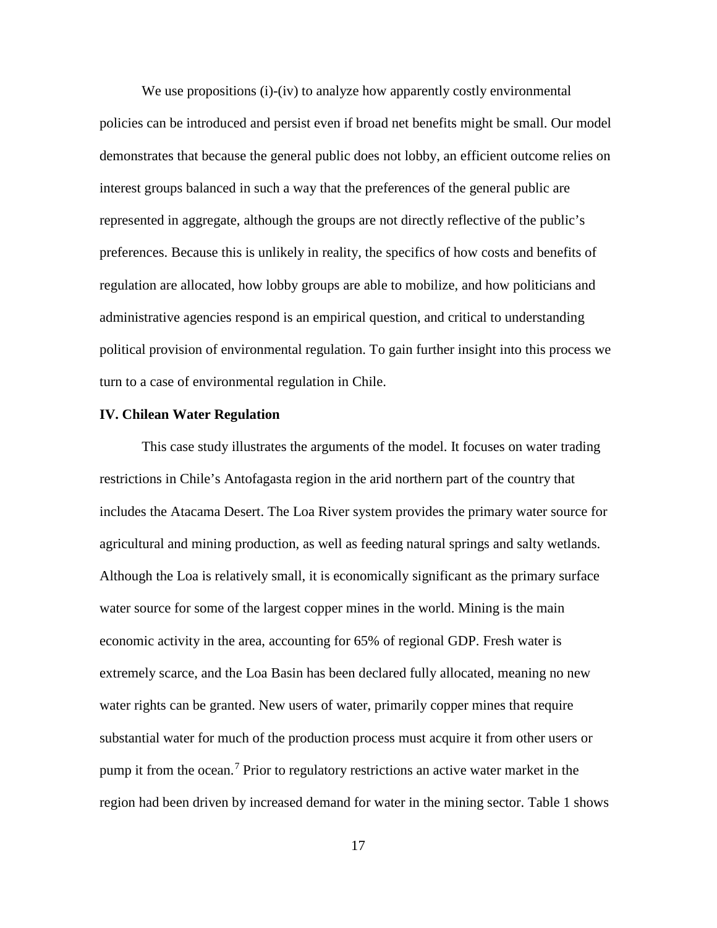We use propositions (i)-(iv) to analyze how apparently costly environmental policies can be introduced and persist even if broad net benefits might be small. Our model demonstrates that because the general public does not lobby, an efficient outcome relies on interest groups balanced in such a way that the preferences of the general public are represented in aggregate, although the groups are not directly reflective of the public's preferences. Because this is unlikely in reality, the specifics of how costs and benefits of regulation are allocated, how lobby groups are able to mobilize, and how politicians and administrative agencies respond is an empirical question, and critical to understanding political provision of environmental regulation. To gain further insight into this process we turn to a case of environmental regulation in Chile.

#### **IV. Chilean Water Regulation**

This case study illustrates the arguments of the model. It focuses on water trading restrictions in Chile's Antofagasta region in the arid northern part of the country that includes the Atacama Desert. The Loa River system provides the primary water source for agricultural and mining production, as well as feeding natural springs and salty wetlands. Although the Loa is relatively small, it is economically significant as the primary surface water source for some of the largest copper mines in the world. Mining is the main economic activity in the area, accounting for 65% of regional GDP. Fresh water is extremely scarce, and the Loa Basin has been declared fully allocated, meaning no new water rights can be granted. New users of water, primarily copper mines that require substantial water for much of the production process must acquire it from other users or pump it from the ocean.<sup>[7](#page-47-3)</sup> Prior to regulatory restrictions an active water market in the region had been driven by increased demand for water in the mining sector. Table 1 shows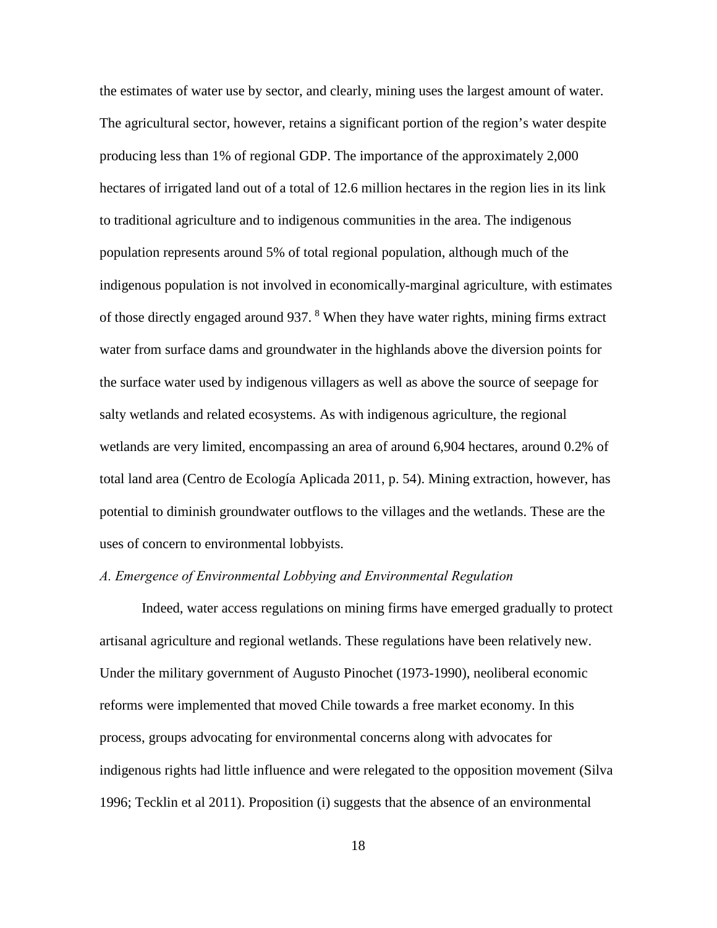the estimates of water use by sector, and clearly, mining uses the largest amount of water. The agricultural sector, however, retains a significant portion of the region's water despite producing less than 1% of regional GDP. The importance of the approximately 2,000 hectares of irrigated land out of a total of 12.6 million hectares in the region lies in its link to traditional agriculture and to indigenous communities in the area. The indigenous population represents around 5% of total regional population, although much of the indigenous population is not involved in economically-marginal agriculture, with estimates of those directly engaged around 937. <sup>[8](#page-48-0)</sup> When they have water rights, mining firms extract water from surface dams and groundwater in the highlands above the diversion points for the surface water used by indigenous villagers as well as above the source of seepage for salty wetlands and related ecosystems. As with indigenous agriculture, the regional wetlands are very limited, encompassing an area of around 6,904 hectares, around 0.2% of total land area (Centro de Ecología Aplicada 2011, p. 54). Mining extraction, however, has potential to diminish groundwater outflows to the villages and the wetlands. These are the uses of concern to environmental lobbyists.

## *A. Emergence of Environmental Lobbying and Environmental Regulation*

Indeed, water access regulations on mining firms have emerged gradually to protect artisanal agriculture and regional wetlands. These regulations have been relatively new. Under the military government of Augusto Pinochet (1973-1990), neoliberal economic reforms were implemented that moved Chile towards a free market economy. In this process, groups advocating for environmental concerns along with advocates for indigenous rights had little influence and were relegated to the opposition movement (Silva 1996; Tecklin et al 2011). Proposition (i) suggests that the absence of an environmental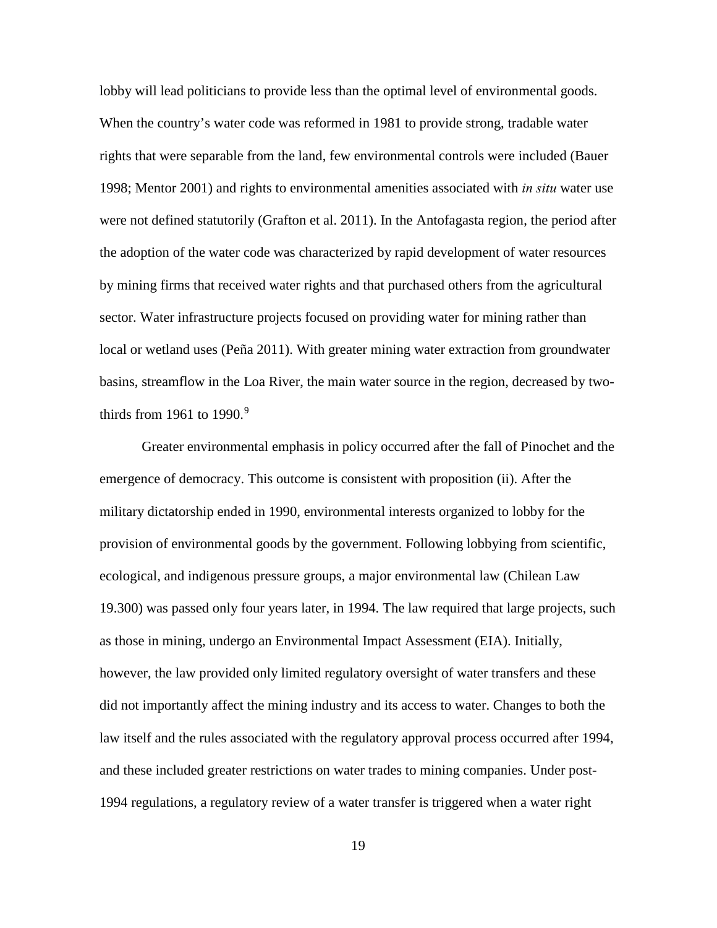lobby will lead politicians to provide less than the optimal level of environmental goods. When the country's water code was reformed in 1981 to provide strong, tradable water rights that were separable from the land, few environmental controls were included (Bauer 1998; Mentor 2001) and rights to environmental amenities associated with *in situ* water use were not defined statutorily (Grafton et al. 2011). In the Antofagasta region, the period after the adoption of the water code was characterized by rapid development of water resources by mining firms that received water rights and that purchased others from the agricultural sector. Water infrastructure projects focused on providing water for mining rather than local or wetland uses (Peña 2011). With greater mining water extraction from groundwater basins, streamflow in the Loa River, the main water source in the region, decreased by two-thirds from 1[9](#page-48-1)61 to 1990.<sup>9</sup>

Greater environmental emphasis in policy occurred after the fall of Pinochet and the emergence of democracy. This outcome is consistent with proposition (ii). After the military dictatorship ended in 1990, environmental interests organized to lobby for the provision of environmental goods by the government. Following lobbying from scientific, ecological, and indigenous pressure groups, a major environmental law (Chilean Law 19.300) was passed only four years later, in 1994. The law required that large projects, such as those in mining, undergo an Environmental Impact Assessment (EIA). Initially, however, the law provided only limited regulatory oversight of water transfers and these did not importantly affect the mining industry and its access to water. Changes to both the law itself and the rules associated with the regulatory approval process occurred after 1994, and these included greater restrictions on water trades to mining companies. Under post-1994 regulations, a regulatory review of a water transfer is triggered when a water right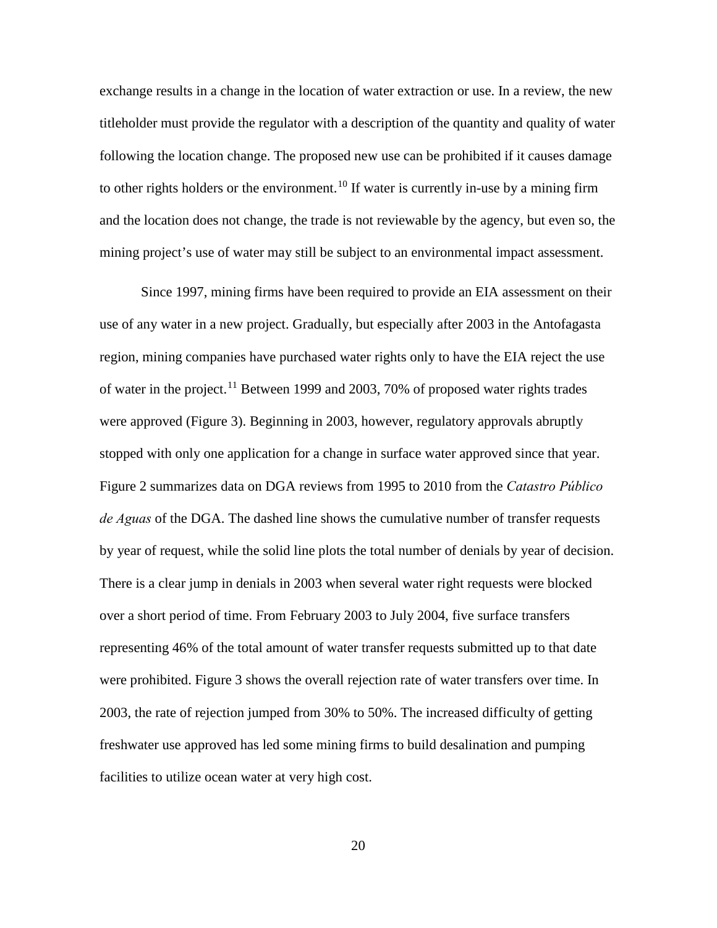exchange results in a change in the location of water extraction or use. In a review, the new titleholder must provide the regulator with a description of the quantity and quality of water following the location change. The proposed new use can be prohibited if it causes damage to other rights holders or the environment.<sup>[10](#page-49-0)</sup> If water is currently in-use by a mining firm and the location does not change, the trade is not reviewable by the agency, but even so, the mining project's use of water may still be subject to an environmental impact assessment.

Since 1997, mining firms have been required to provide an EIA assessment on their use of any water in a new project. Gradually, but especially after 2003 in the Antofagasta region, mining companies have purchased water rights only to have the EIA reject the use of water in the project.<sup>[11](#page-49-1)</sup> Between 1999 and 2003, 70% of proposed water rights trades were approved (Figure 3). Beginning in 2003, however, regulatory approvals abruptly stopped with only one application for a change in surface water approved since that year. Figure 2 summarizes data on DGA reviews from 1995 to 2010 from the *Catastro Público de Aguas* of the DGA. The dashed line shows the cumulative number of transfer requests by year of request, while the solid line plots the total number of denials by year of decision. There is a clear jump in denials in 2003 when several water right requests were blocked over a short period of time. From February 2003 to July 2004, five surface transfers representing 46% of the total amount of water transfer requests submitted up to that date were prohibited. Figure 3 shows the overall rejection rate of water transfers over time. In 2003, the rate of rejection jumped from 30% to 50%. The increased difficulty of getting freshwater use approved has led some mining firms to build desalination and pumping facilities to utilize ocean water at very high cost.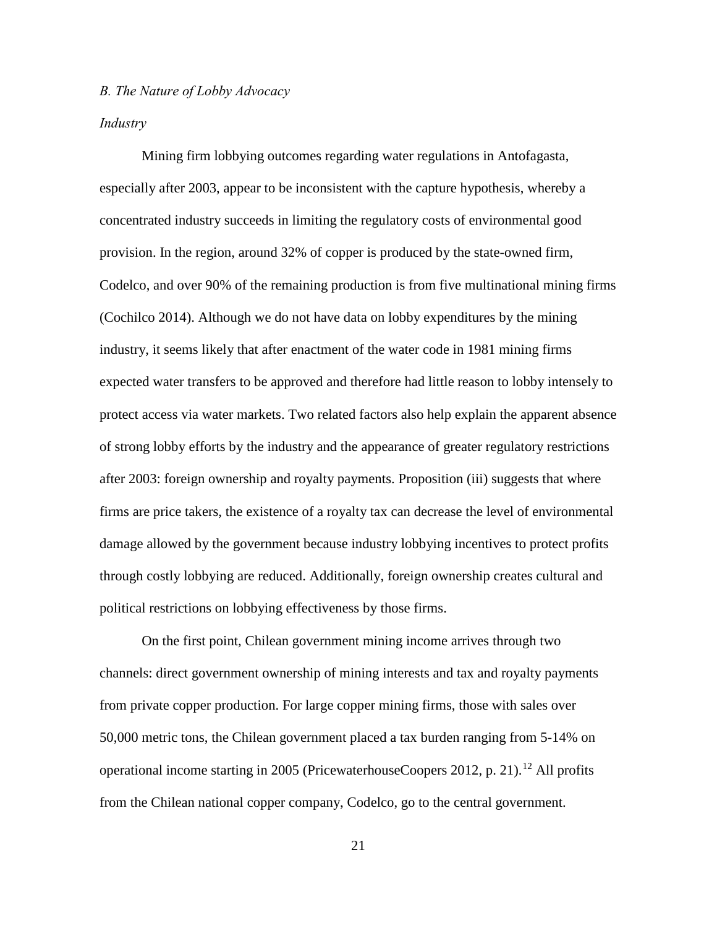## *B. The Nature of Lobby Advocacy*

#### *Industry*

Mining firm lobbying outcomes regarding water regulations in Antofagasta, especially after 2003, appear to be inconsistent with the capture hypothesis, whereby a concentrated industry succeeds in limiting the regulatory costs of environmental good provision. In the region, around 32% of copper is produced by the state-owned firm, Codelco, and over 90% of the remaining production is from five multinational mining firms (Cochilco 2014). Although we do not have data on lobby expenditures by the mining industry, it seems likely that after enactment of the water code in 1981 mining firms expected water transfers to be approved and therefore had little reason to lobby intensely to protect access via water markets. Two related factors also help explain the apparent absence of strong lobby efforts by the industry and the appearance of greater regulatory restrictions after 2003: foreign ownership and royalty payments. Proposition (iii) suggests that where firms are price takers, the existence of a royalty tax can decrease the level of environmental damage allowed by the government because industry lobbying incentives to protect profits through costly lobbying are reduced. Additionally, foreign ownership creates cultural and political restrictions on lobbying effectiveness by those firms.

On the first point, Chilean government mining income arrives through two channels: direct government ownership of mining interests and tax and royalty payments from private copper production. For large copper mining firms, those with sales over 50,000 metric tons, the Chilean government placed a tax burden ranging from 5-14% on operational income starting in 2005 (PricewaterhouseCoopers 20[12](#page-49-2), p. 21).<sup>12</sup> All profits from the Chilean national copper company, Codelco, go to the central government.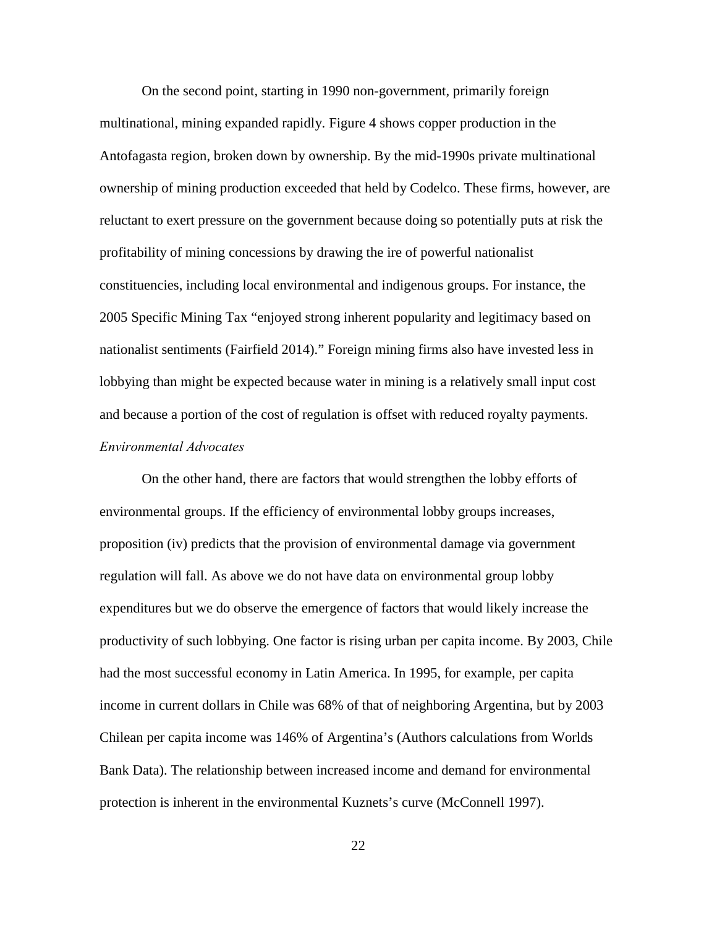On the second point, starting in 1990 non-government, primarily foreign multinational, mining expanded rapidly. Figure 4 shows copper production in the Antofagasta region, broken down by ownership. By the mid-1990s private multinational ownership of mining production exceeded that held by Codelco. These firms, however, are reluctant to exert pressure on the government because doing so potentially puts at risk the profitability of mining concessions by drawing the ire of powerful nationalist constituencies, including local environmental and indigenous groups. For instance, the 2005 Specific Mining Tax "enjoyed strong inherent popularity and legitimacy based on nationalist sentiments (Fairfield 2014)." Foreign mining firms also have invested less in lobbying than might be expected because water in mining is a relatively small input cost and because a portion of the cost of regulation is offset with reduced royalty payments. *Environmental Advocates*

 On the other hand, there are factors that would strengthen the lobby efforts of environmental groups. If the efficiency of environmental lobby groups increases, proposition (iv) predicts that the provision of environmental damage via government regulation will fall. As above we do not have data on environmental group lobby expenditures but we do observe the emergence of factors that would likely increase the productivity of such lobbying. One factor is rising urban per capita income. By 2003, Chile had the most successful economy in Latin America. In 1995, for example, per capita income in current dollars in Chile was 68% of that of neighboring Argentina, but by 2003 Chilean per capita income was 146% of Argentina's (Authors calculations from Worlds Bank Data). The relationship between increased income and demand for environmental protection is inherent in the environmental Kuznets's curve (McConnell 1997).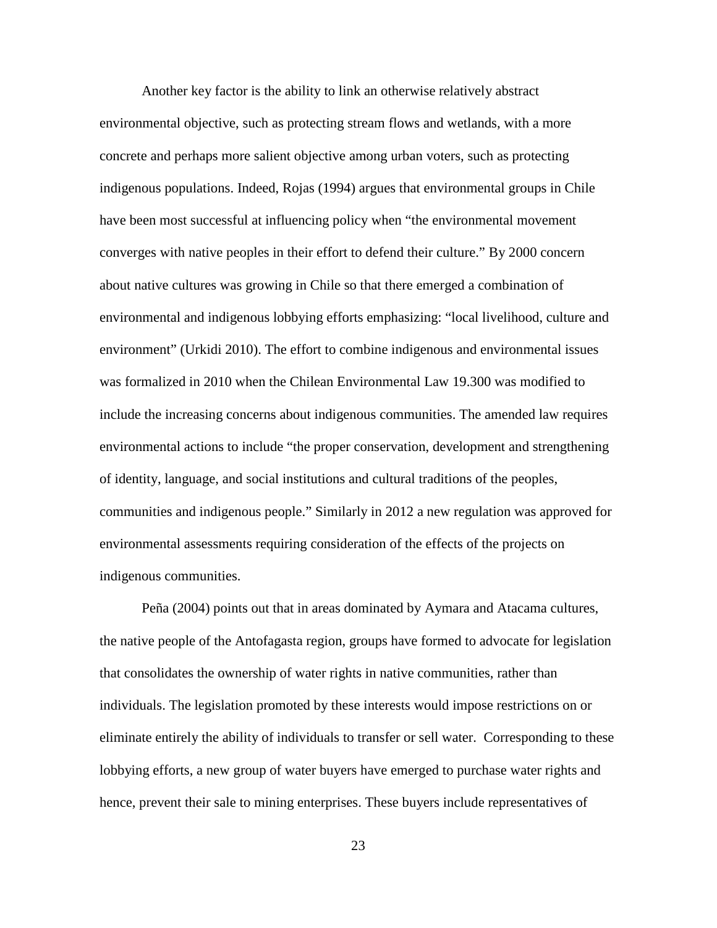Another key factor is the ability to link an otherwise relatively abstract environmental objective, such as protecting stream flows and wetlands, with a more concrete and perhaps more salient objective among urban voters, such as protecting indigenous populations. Indeed, Rojas (1994) argues that environmental groups in Chile have been most successful at influencing policy when "the environmental movement converges with native peoples in their effort to defend their culture." By 2000 concern about native cultures was growing in Chile so that there emerged a combination of environmental and indigenous lobbying efforts emphasizing: "local livelihood, culture and environment" (Urkidi 2010). The effort to combine indigenous and environmental issues was formalized in 2010 when the Chilean Environmental Law 19.300 was modified to include the increasing concerns about indigenous communities. The amended law requires environmental actions to include "the proper conservation, development and strengthening of identity, language, and social institutions and cultural traditions of the peoples, communities and indigenous people." Similarly in 2012 a new regulation was approved for environmental assessments requiring consideration of the effects of the projects on indigenous communities.

 Peña (2004) points out that in areas dominated by Aymara and Atacama cultures, the native people of the Antofagasta region, groups have formed to advocate for legislation that consolidates the ownership of water rights in native communities, rather than individuals. The legislation promoted by these interests would impose restrictions on or eliminate entirely the ability of individuals to transfer or sell water. Corresponding to these lobbying efforts, a new group of water buyers have emerged to purchase water rights and hence, prevent their sale to mining enterprises. These buyers include representatives of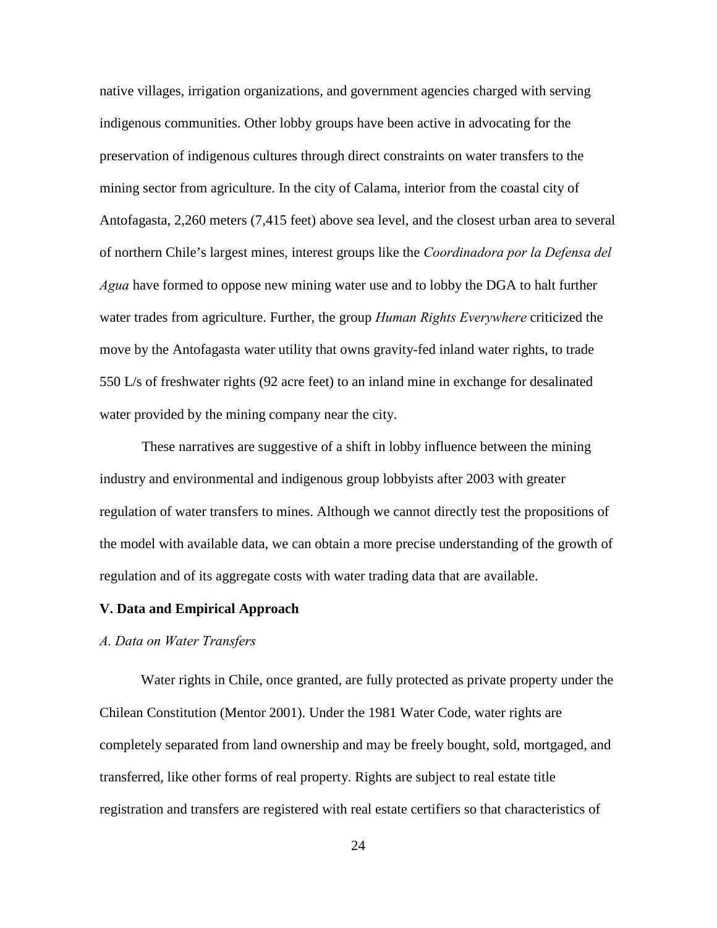native villages, irrigation organizations, and government agencies charged with serving indigenous communities. Other lobby groups have been active in advocating for the preservation of indigenous cultures through direct constraints on water transfers to the mining sector from agriculture. In the city of Calama, interior from the coastal city of Antofagasta, 2,260 meters (7,415 feet) above sea level, and the closest urban area to several of northern Chile's largest mines, interest groups like the *Coordinadora por la Defensa del Agua* have formed to oppose new mining water use and to lobby the DGA to halt further water trades from agriculture. Further, the group *Human Rights Everywhere* criticized the move by the Antofagasta water utility that owns gravity-fed inland water rights, to trade 550 L/s of freshwater rights (92 acre feet) to an inland mine in exchange for desalinated water provided by the mining company near the city.

 These narratives are suggestive of a shift in lobby influence between the mining industry and environmental and indigenous group lobbyists after 2003 with greater regulation of water transfers to mines. Although we cannot directly test the propositions of the model with available data, we can obtain a more precise understanding of the growth of regulation and of its aggregate costs with water trading data that are available.

## **V. Data and Empirical Approach**

## *A. Data on Water Transfers*

Water rights in Chile, once granted, are fully protected as private property under the Chilean Constitution (Mentor 2001). Under the 1981 Water Code, water rights are completely separated from land ownership and may be freely bought, sold, mortgaged, and transferred, like other forms of real property. Rights are subject to real estate title registration and transfers are registered with real estate certifiers so that characteristics of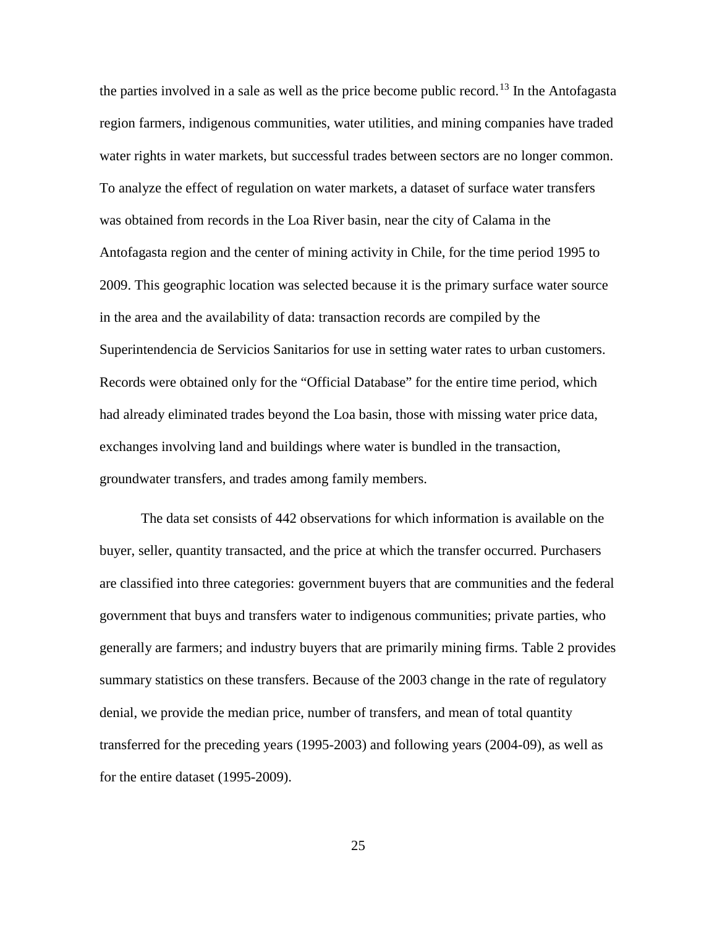the parties involved in a sale as well as the price become public record.<sup>[13](#page-50-0)</sup> In the Antofagasta region farmers, indigenous communities, water utilities, and mining companies have traded water rights in water markets, but successful trades between sectors are no longer common. To analyze the effect of regulation on water markets, a dataset of surface water transfers was obtained from records in the Loa River basin, near the city of Calama in the Antofagasta region and the center of mining activity in Chile, for the time period 1995 to 2009. This geographic location was selected because it is the primary surface water source in the area and the availability of data: transaction records are compiled by the Superintendencia de Servicios Sanitarios for use in setting water rates to urban customers. Records were obtained only for the "Official Database" for the entire time period, which had already eliminated trades beyond the Loa basin, those with missing water price data, exchanges involving land and buildings where water is bundled in the transaction, groundwater transfers, and trades among family members.

The data set consists of 442 observations for which information is available on the buyer, seller, quantity transacted, and the price at which the transfer occurred. Purchasers are classified into three categories: government buyers that are communities and the federal government that buys and transfers water to indigenous communities; private parties, who generally are farmers; and industry buyers that are primarily mining firms. Table 2 provides summary statistics on these transfers. Because of the 2003 change in the rate of regulatory denial, we provide the median price, number of transfers, and mean of total quantity transferred for the preceding years (1995-2003) and following years (2004-09), as well as for the entire dataset (1995-2009).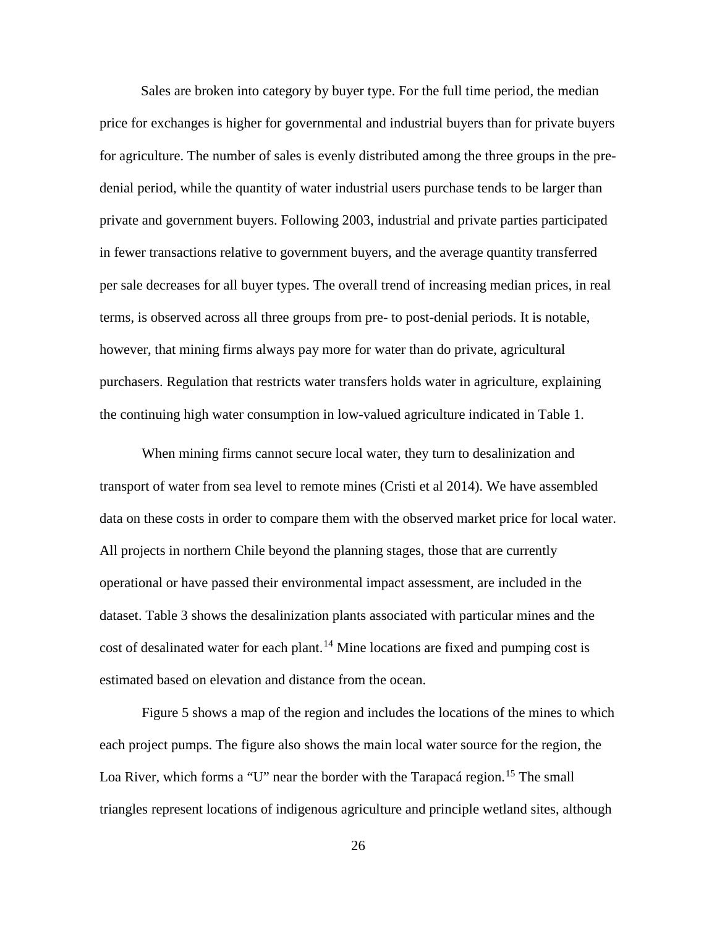Sales are broken into category by buyer type. For the full time period, the median price for exchanges is higher for governmental and industrial buyers than for private buyers for agriculture. The number of sales is evenly distributed among the three groups in the predenial period, while the quantity of water industrial users purchase tends to be larger than private and government buyers. Following 2003, industrial and private parties participated in fewer transactions relative to government buyers, and the average quantity transferred per sale decreases for all buyer types. The overall trend of increasing median prices, in real terms, is observed across all three groups from pre- to post-denial periods. It is notable, however, that mining firms always pay more for water than do private, agricultural purchasers. Regulation that restricts water transfers holds water in agriculture, explaining the continuing high water consumption in low-valued agriculture indicated in Table 1.

When mining firms cannot secure local water, they turn to desalinization and transport of water from sea level to remote mines (Cristi et al 2014). We have assembled data on these costs in order to compare them with the observed market price for local water. All projects in northern Chile beyond the planning stages, those that are currently operational or have passed their environmental impact assessment, are included in the dataset. Table 3 shows the desalinization plants associated with particular mines and the cost of desalinated water for each plant.<sup>14</sup> Mine locations are fixed and pumping cost is estimated based on elevation and distance from the ocean.

Figure 5 shows a map of the region and includes the locations of the mines to which each project pumps. The figure also shows the main local water source for the region, the Loa River, which forms a "U" near the border with the Tarapacá region.<sup>[15](#page-50-2)</sup> The small triangles represent locations of indigenous agriculture and principle wetland sites, although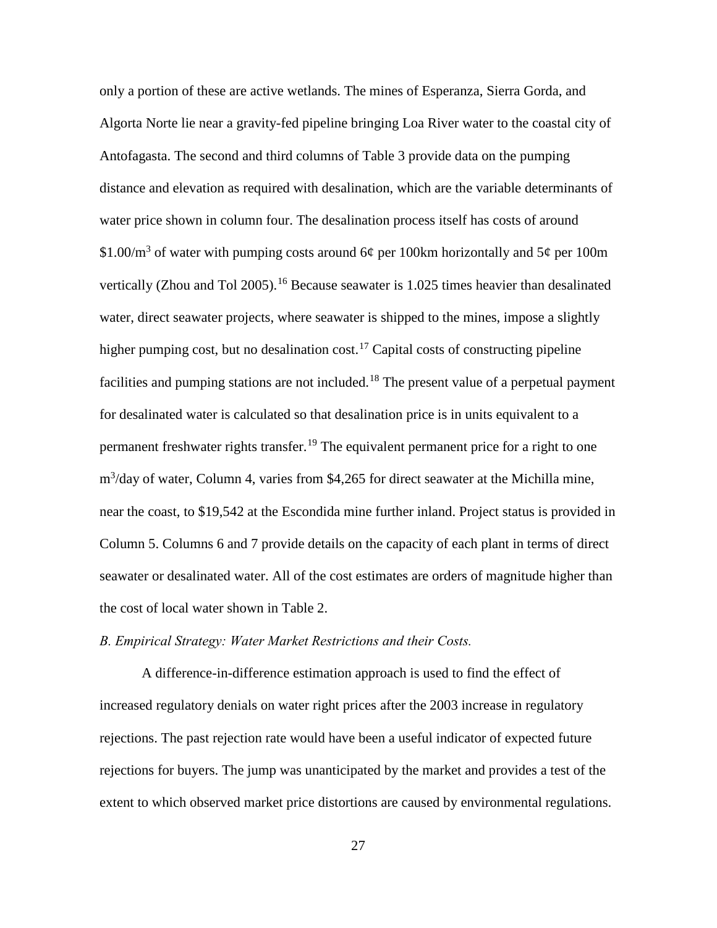only a portion of these are active wetlands. The mines of Esperanza, Sierra Gorda, and Algorta Norte lie near a gravity-fed pipeline bringing Loa River water to the coastal city of Antofagasta. The second and third columns of Table 3 provide data on the pumping distance and elevation as required with desalination, which are the variable determinants of water price shown in column four. The desalination process itself has costs of around \$1.00/ $\text{m}^3$  of water with pumping costs around 6¢ per 100km horizontally and 5¢ per 100m vertically (Zhou and Tol 2005).<sup>[16](#page-51-0)</sup> Because seawater is 1.025 times heavier than desalinated water, direct seawater projects, where seawater is shipped to the mines, impose a slightly higher pumping cost, but no desalination cost.<sup>[17](#page-51-1)</sup> Capital costs of constructing pipeline facilities and pumping stations are not included.<sup>[18](#page-51-2)</sup> The present value of a perpetual payment for desalinated water is calculated so that desalination price is in units equivalent to a permanent freshwater rights transfer.<sup>19</sup> The equivalent permanent price for a right to one m<sup>3</sup>/day of water, Column 4, varies from \$4,265 for direct seawater at the Michilla mine, near the coast, to \$19,542 at the Escondida mine further inland. Project status is provided in Column 5. Columns 6 and 7 provide details on the capacity of each plant in terms of direct seawater or desalinated water. All of the cost estimates are orders of magnitude higher than the cost of local water shown in Table 2.

## *B. Empirical Strategy: Water Market Restrictions and their Costs.*

A difference-in-difference estimation approach is used to find the effect of increased regulatory denials on water right prices after the 2003 increase in regulatory rejections. The past rejection rate would have been a useful indicator of expected future rejections for buyers. The jump was unanticipated by the market and provides a test of the extent to which observed market price distortions are caused by environmental regulations.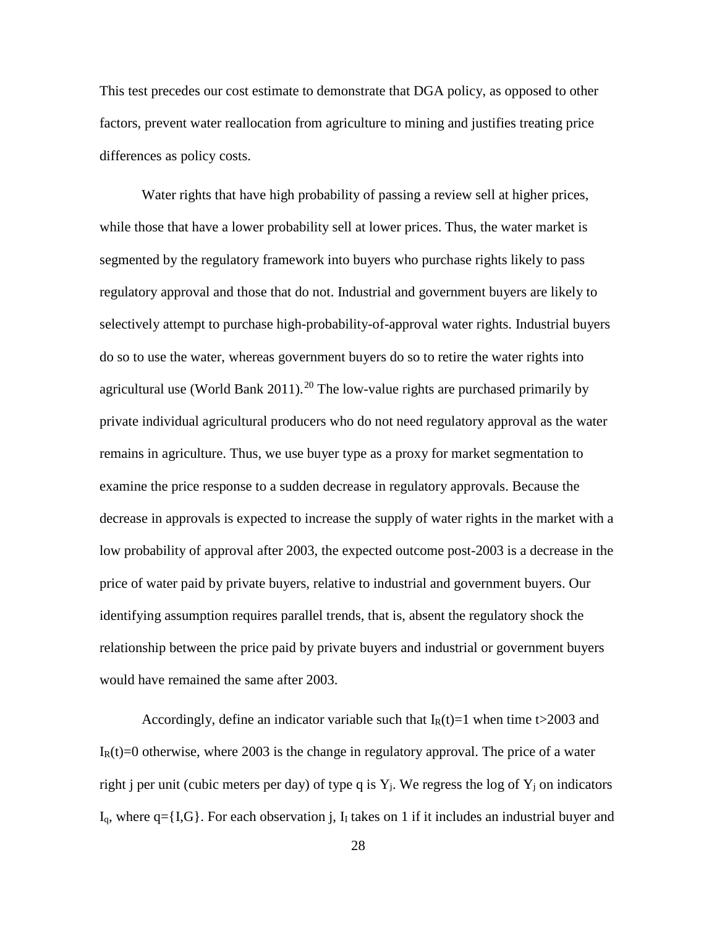This test precedes our cost estimate to demonstrate that DGA policy, as opposed to other factors, prevent water reallocation from agriculture to mining and justifies treating price differences as policy costs.

Water rights that have high probability of passing a review sell at higher prices, while those that have a lower probability sell at lower prices. Thus, the water market is segmented by the regulatory framework into buyers who purchase rights likely to pass regulatory approval and those that do not. Industrial and government buyers are likely to selectively attempt to purchase high-probability-of-approval water rights. Industrial buyers do so to use the water, whereas government buyers do so to retire the water rights into agricultural use (World Bank [20](#page-52-0)11).<sup>20</sup> The low-value rights are purchased primarily by private individual agricultural producers who do not need regulatory approval as the water remains in agriculture. Thus, we use buyer type as a proxy for market segmentation to examine the price response to a sudden decrease in regulatory approvals. Because the decrease in approvals is expected to increase the supply of water rights in the market with a low probability of approval after 2003, the expected outcome post-2003 is a decrease in the price of water paid by private buyers, relative to industrial and government buyers. Our identifying assumption requires parallel trends, that is, absent the regulatory shock the relationship between the price paid by private buyers and industrial or government buyers would have remained the same after 2003.

Accordingly, define an indicator variable such that  $I_R(t)=1$  when time t $>$ 2003 and  $I_R(t)=0$  otherwise, where 2003 is the change in regulatory approval. The price of a water right j per unit (cubic meters per day) of type q is  $Y_i$ . We regress the log of  $Y_i$  on indicators  $I_q$ , where  $q = \{I, G\}$ . For each observation j,  $I_l$  takes on 1 if it includes an industrial buyer and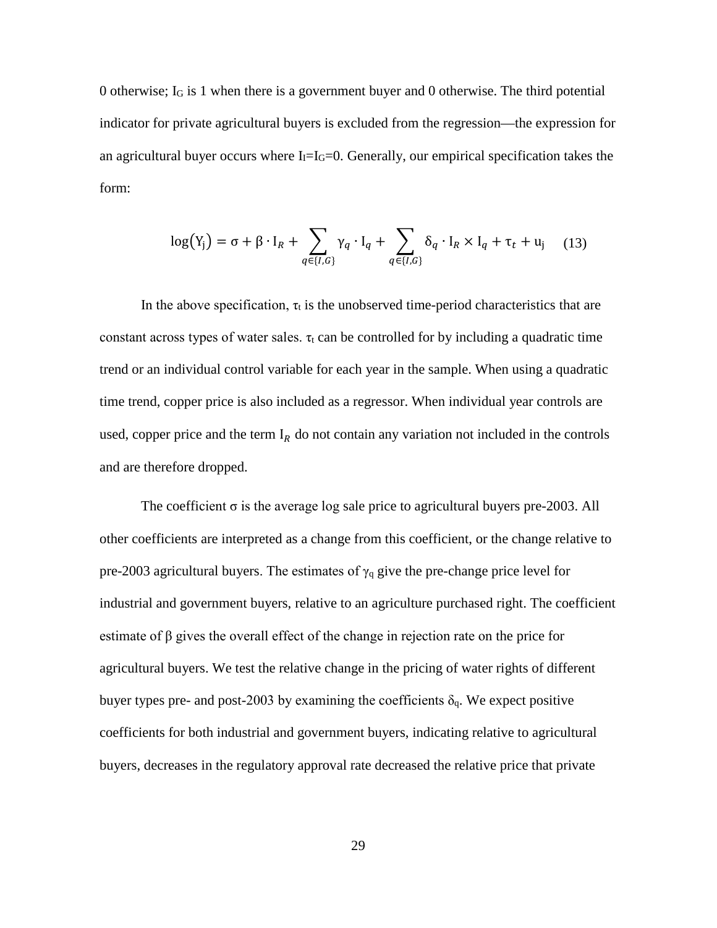0 otherwise; IG is 1 when there is a government buyer and 0 otherwise. The third potential indicator for private agricultural buyers is excluded from the regression—the expression for an agricultural buyer occurs where  $I_1=I_0=0$ . Generally, our empirical specification takes the form:

$$
\log(Y_j) = \sigma + \beta \cdot I_R + \sum_{q \in \{I, G\}} \gamma_q \cdot I_q + \sum_{q \in \{I, G\}} \delta_q \cdot I_R \times I_q + \tau_t + u_j \quad (13)
$$

In the above specification,  $\tau_t$  is the unobserved time-period characteristics that are constant across types of water sales.  $\tau_t$  can be controlled for by including a quadratic time trend or an individual control variable for each year in the sample. When using a quadratic time trend, copper price is also included as a regressor. When individual year controls are used, copper price and the term  $I_R$  do not contain any variation not included in the controls and are therefore dropped.

The coefficient  $\sigma$  is the average log sale price to agricultural buyers pre-2003. All other coefficients are interpreted as a change from this coefficient, or the change relative to pre-2003 agricultural buyers. The estimates of  $\gamma_q$  give the pre-change price level for industrial and government buyers, relative to an agriculture purchased right. The coefficient estimate of  $\beta$  gives the overall effect of the change in rejection rate on the price for agricultural buyers. We test the relative change in the pricing of water rights of different buyer types pre- and post-2003 by examining the coefficients  $\delta_q$ . We expect positive coefficients for both industrial and government buyers, indicating relative to agricultural buyers, decreases in the regulatory approval rate decreased the relative price that private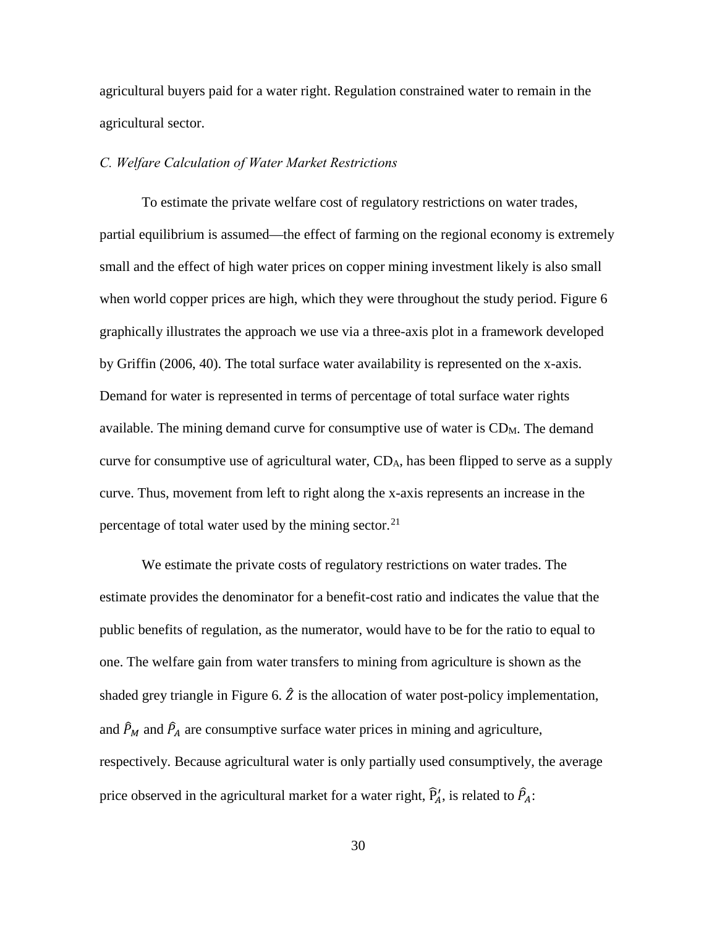agricultural buyers paid for a water right. Regulation constrained water to remain in the agricultural sector.

## *C. Welfare Calculation of Water Market Restrictions*

To estimate the private welfare cost of regulatory restrictions on water trades, partial equilibrium is assumed—the effect of farming on the regional economy is extremely small and the effect of high water prices on copper mining investment likely is also small when world copper prices are high, which they were throughout the study period. Figure 6 graphically illustrates the approach we use via a three-axis plot in a framework developed by Griffin (2006, 40). The total surface water availability is represented on the x-axis. Demand for water is represented in terms of percentage of total surface water rights available. The mining demand curve for consumptive use of water is CDM. The demand curve for consumptive use of agricultural water, CDA, has been flipped to serve as a supply curve. Thus, movement from left to right along the x-axis represents an increase in the percentage of total water used by the mining sector. $21$ 

We estimate the private costs of regulatory restrictions on water trades. The estimate provides the denominator for a benefit-cost ratio and indicates the value that the public benefits of regulation, as the numerator, would have to be for the ratio to equal to one. The welfare gain from water transfers to mining from agriculture is shown as the shaded grey triangle in Figure 6.  $\hat{Z}$  is the allocation of water post-policy implementation, and  $\hat{P}_M$  and  $\hat{P}_A$  are consumptive surface water prices in mining and agriculture, respectively. Because agricultural water is only partially used consumptively, the average price observed in the agricultural market for a water right,  $\hat{P}_A'$ , is related to  $\hat{P}_A$ :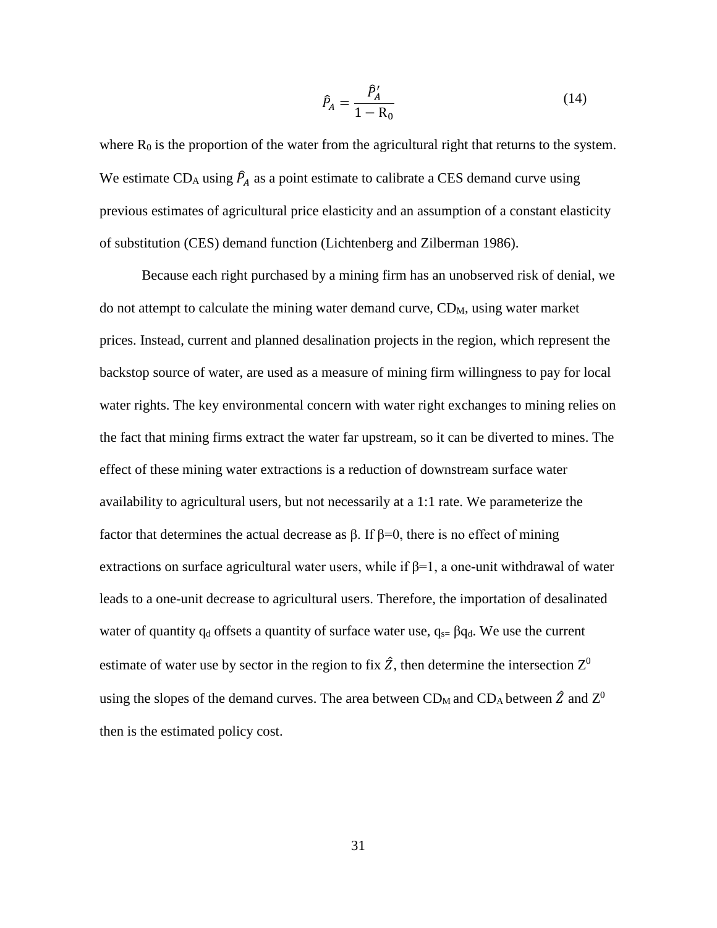$$
\hat{P}_A = \frac{\hat{P}_A'}{1 - R_0} \tag{14}
$$

where  $R_0$  is the proportion of the water from the agricultural right that returns to the system. We estimate  $CD_A$  using  $\hat{P}_A$  as a point estimate to calibrate a CES demand curve using previous estimates of agricultural price elasticity and an assumption of a constant elasticity of substitution (CES) demand function (Lichtenberg and Zilberman 1986).

Because each right purchased by a mining firm has an unobserved risk of denial, we do not attempt to calculate the mining water demand curve,  $CD<sub>M</sub>$ , using water market prices. Instead, current and planned desalination projects in the region, which represent the backstop source of water, are used as a measure of mining firm willingness to pay for local water rights. The key environmental concern with water right exchanges to mining relies on the fact that mining firms extract the water far upstream, so it can be diverted to mines. The effect of these mining water extractions is a reduction of downstream surface water availability to agricultural users, but not necessarily at a 1:1 rate. We parameterize the factor that determines the actual decrease as β. If β=0, there is no effect of mining extractions on surface agricultural water users, while if  $\beta=1$ , a one-unit withdrawal of water leads to a one-unit decrease to agricultural users. Therefore, the importation of desalinated water of quantity  $q_d$  offsets a quantity of surface water use,  $q_{s=} \beta q_d$ . We use the current estimate of water use by sector in the region to fix  $\hat{Z}$ , then determine the intersection  $Z^0$ using the slopes of the demand curves. The area between CD<sub>M</sub> and CD<sub>A</sub> between  $\hat{Z}$  and  $Z^0$ then is the estimated policy cost.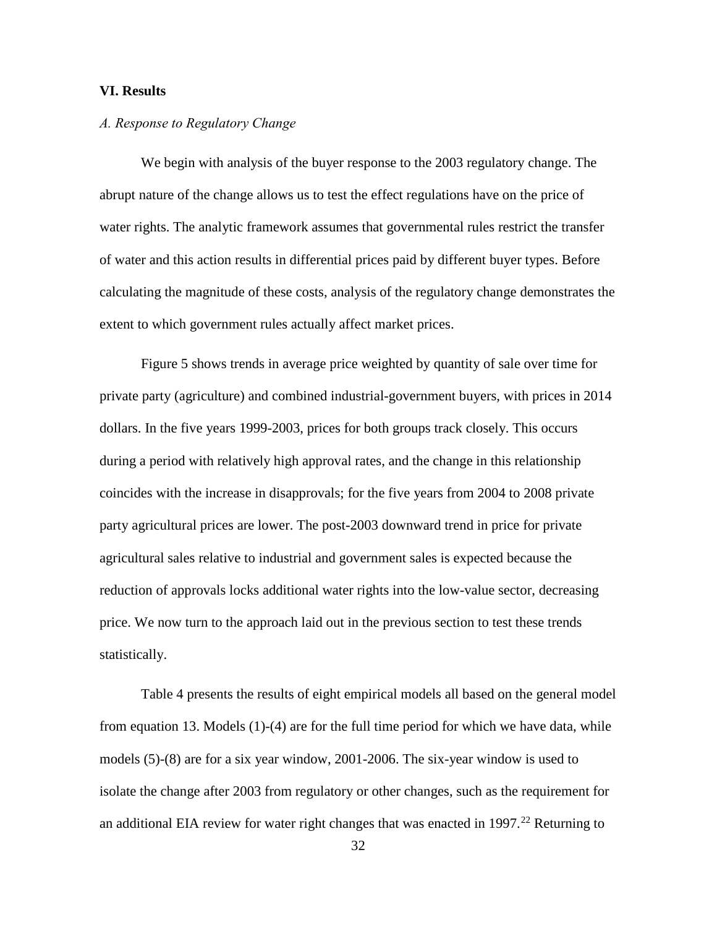### **VI. Results**

## *A. Response to Regulatory Change*

We begin with analysis of the buyer response to the 2003 regulatory change. The abrupt nature of the change allows us to test the effect regulations have on the price of water rights. The analytic framework assumes that governmental rules restrict the transfer of water and this action results in differential prices paid by different buyer types. Before calculating the magnitude of these costs, analysis of the regulatory change demonstrates the extent to which government rules actually affect market prices.

Figure 5 shows trends in average price weighted by quantity of sale over time for private party (agriculture) and combined industrial-government buyers, with prices in 2014 dollars. In the five years 1999-2003, prices for both groups track closely. This occurs during a period with relatively high approval rates, and the change in this relationship coincides with the increase in disapprovals; for the five years from 2004 to 2008 private party agricultural prices are lower. The post-2003 downward trend in price for private agricultural sales relative to industrial and government sales is expected because the reduction of approvals locks additional water rights into the low-value sector, decreasing price. We now turn to the approach laid out in the previous section to test these trends statistically.

Table 4 presents the results of eight empirical models all based on the general model from equation 13. Models (1)-(4) are for the full time period for which we have data, while models (5)-(8) are for a six year window, 2001-2006. The six-year window is used to isolate the change after 2003 from regulatory or other changes, such as the requirement for an additional EIA review for water right changes that was enacted in  $1997.<sup>22</sup>$  $1997.<sup>22</sup>$  $1997.<sup>22</sup>$  Returning to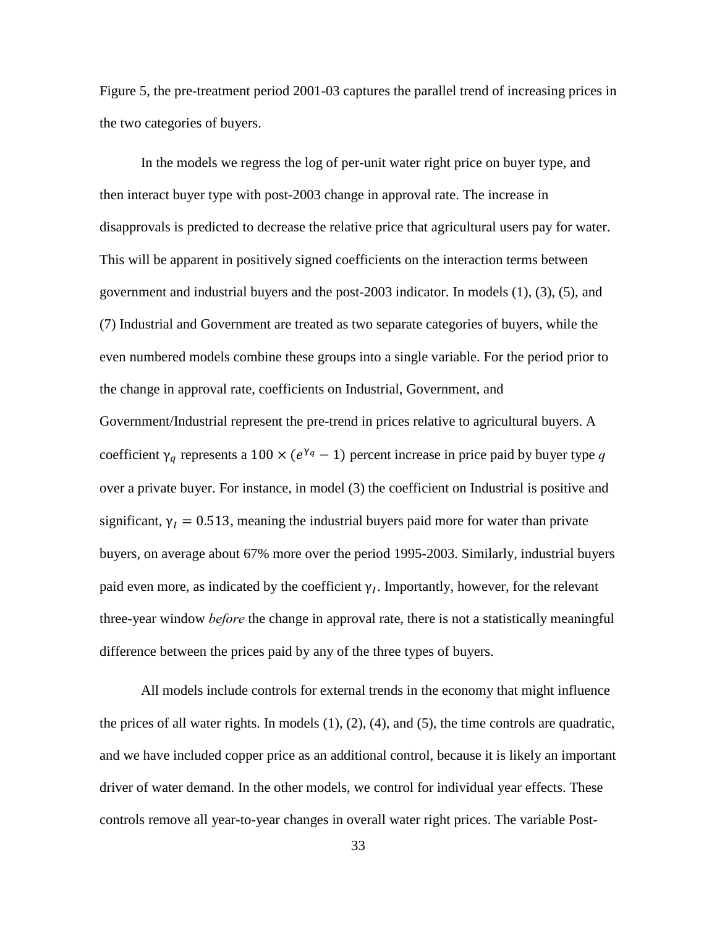Figure 5, the pre-treatment period 2001-03 captures the parallel trend of increasing prices in the two categories of buyers.

In the models we regress the log of per-unit water right price on buyer type, and then interact buyer type with post-2003 change in approval rate. The increase in disapprovals is predicted to decrease the relative price that agricultural users pay for water. This will be apparent in positively signed coefficients on the interaction terms between government and industrial buyers and the post-2003 indicator. In models (1), (3), (5), and (7) Industrial and Government are treated as two separate categories of buyers, while the even numbered models combine these groups into a single variable. For the period prior to the change in approval rate, coefficients on Industrial, Government, and Government/Industrial represent the pre-trend in prices relative to agricultural buyers. A coefficient  $\gamma_q$  represents a 100 × ( $e^{\gamma_q}$  – 1) percent increase in price paid by buyer type q over a private buyer. For instance, in model (3) the coefficient on Industrial is positive and significant,  $\gamma_I = 0.513$ , meaning the industrial buyers paid more for water than private buyers, on average about 67% more over the period 1995-2003. Similarly, industrial buyers paid even more, as indicated by the coefficient  $\gamma_I$ . Importantly, however, for the relevant three-year window *before* the change in approval rate, there is not a statistically meaningful difference between the prices paid by any of the three types of buyers.

All models include controls for external trends in the economy that might influence the prices of all water rights. In models  $(1)$ ,  $(2)$ ,  $(4)$ , and  $(5)$ , the time controls are quadratic, and we have included copper price as an additional control, because it is likely an important driver of water demand. In the other models, we control for individual year effects. These controls remove all year-to-year changes in overall water right prices. The variable Post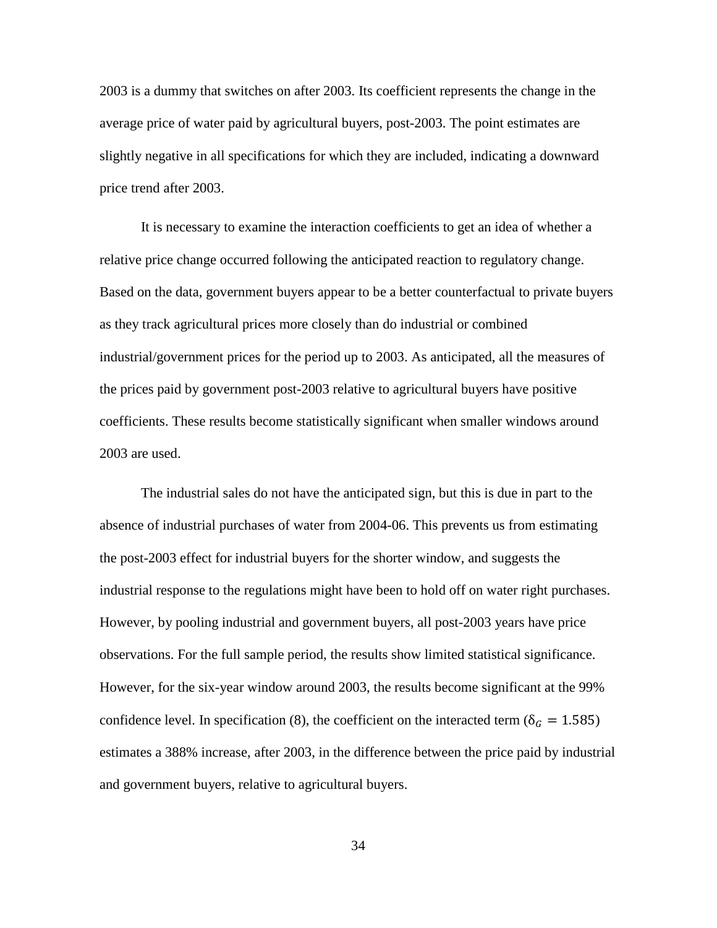2003 is a dummy that switches on after 2003. Its coefficient represents the change in the average price of water paid by agricultural buyers, post-2003. The point estimates are slightly negative in all specifications for which they are included, indicating a downward price trend after 2003.

It is necessary to examine the interaction coefficients to get an idea of whether a relative price change occurred following the anticipated reaction to regulatory change. Based on the data, government buyers appear to be a better counterfactual to private buyers as they track agricultural prices more closely than do industrial or combined industrial/government prices for the period up to 2003. As anticipated, all the measures of the prices paid by government post-2003 relative to agricultural buyers have positive coefficients. These results become statistically significant when smaller windows around 2003 are used.

The industrial sales do not have the anticipated sign, but this is due in part to the absence of industrial purchases of water from 2004-06. This prevents us from estimating the post-2003 effect for industrial buyers for the shorter window, and suggests the industrial response to the regulations might have been to hold off on water right purchases. However, by pooling industrial and government buyers, all post-2003 years have price observations. For the full sample period, the results show limited statistical significance. However, for the six-year window around 2003, the results become significant at the 99% confidence level. In specification (8), the coefficient on the interacted term ( $\delta_G = 1.585$ ) estimates a 388% increase, after 2003, in the difference between the price paid by industrial and government buyers, relative to agricultural buyers.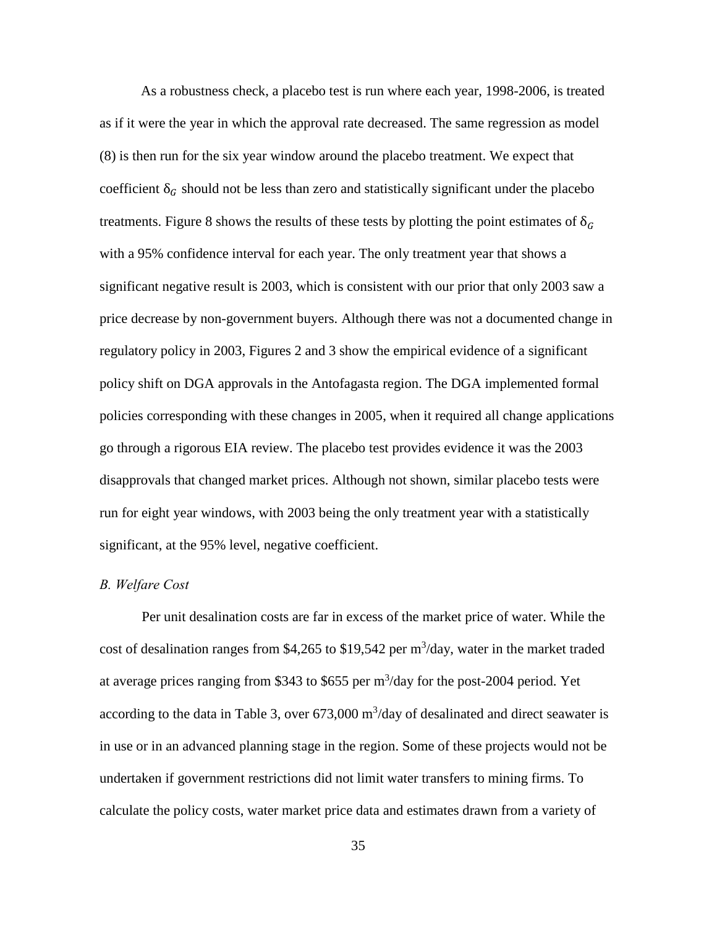As a robustness check, a placebo test is run where each year, 1998-2006, is treated as if it were the year in which the approval rate decreased. The same regression as model (8) is then run for the six year window around the placebo treatment. We expect that coefficient  $\delta_G$  should not be less than zero and statistically significant under the placebo treatments. Figure 8 shows the results of these tests by plotting the point estimates of  $\delta_G$ with a 95% confidence interval for each year. The only treatment year that shows a significant negative result is 2003, which is consistent with our prior that only 2003 saw a price decrease by non-government buyers. Although there was not a documented change in regulatory policy in 2003, Figures 2 and 3 show the empirical evidence of a significant policy shift on DGA approvals in the Antofagasta region. The DGA implemented formal policies corresponding with these changes in 2005, when it required all change applications go through a rigorous EIA review. The placebo test provides evidence it was the 2003 disapprovals that changed market prices. Although not shown, similar placebo tests were run for eight year windows, with 2003 being the only treatment year with a statistically significant, at the 95% level, negative coefficient.

#### *B. Welfare Cost*

Per unit desalination costs are far in excess of the market price of water. While the cost of desalination ranges from \$4,265 to \$19,542 per  $m^3$ /day, water in the market traded at average prices ranging from \$343 to \$655 per  $m^3$ /day for the post-2004 period. Yet according to the data in Table 3, over  $673,000 \text{ m}^3/\text{day}$  of desalinated and direct seawater is in use or in an advanced planning stage in the region. Some of these projects would not be undertaken if government restrictions did not limit water transfers to mining firms. To calculate the policy costs, water market price data and estimates drawn from a variety of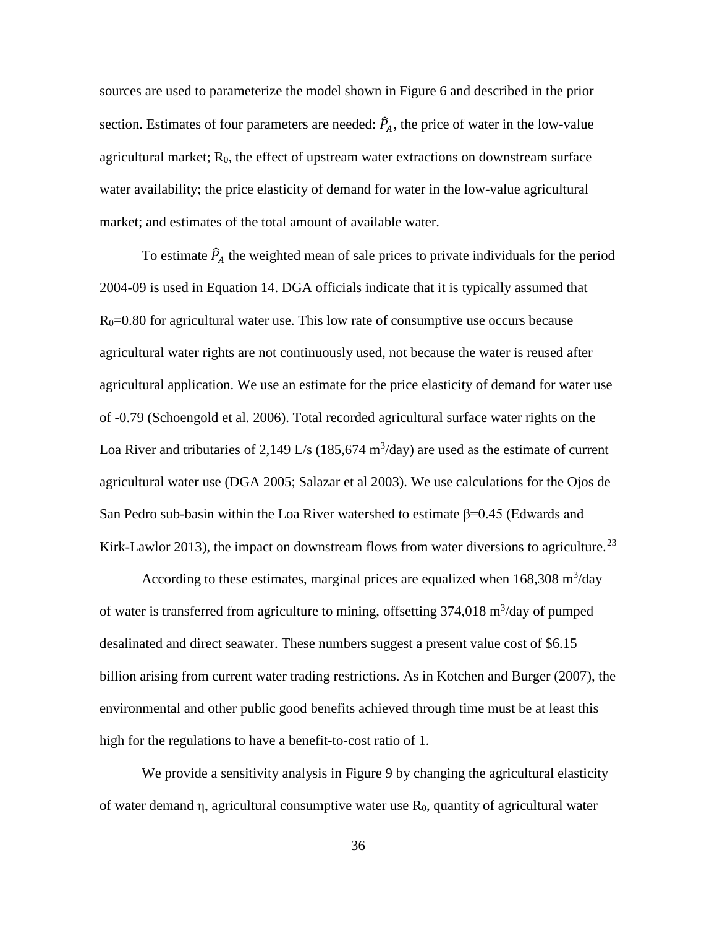sources are used to parameterize the model shown in Figure 6 and described in the prior section. Estimates of four parameters are needed:  $\hat{P}_A$ , the price of water in the low-value agricultural market;  $R_0$ , the effect of upstream water extractions on downstream surface water availability; the price elasticity of demand for water in the low-value agricultural market; and estimates of the total amount of available water.

To estimate  $\hat{P}_A$  the weighted mean of sale prices to private individuals for the period 2004-09 is used in Equation 14. DGA officials indicate that it is typically assumed that  $R<sub>0</sub>=0.80$  for agricultural water use. This low rate of consumptive use occurs because agricultural water rights are not continuously used, not because the water is reused after agricultural application. We use an estimate for the price elasticity of demand for water use of -0.79 (Schoengold et al. 2006). Total recorded agricultural surface water rights on the Loa River and tributaries of 2,149 L/s (185,674 m<sup>3</sup>/day) are used as the estimate of current agricultural water use (DGA 2005; Salazar et al 2003). We use calculations for the Ojos de San Pedro sub-basin within the Loa River watershed to estimate  $\beta$ =0.45 (Edwards and Kirk-Lawlor 2013), the impact on downstream flows from water diversions to agriculture.<sup>[23](#page-53-0)</sup>

According to these estimates, marginal prices are equalized when  $168,308 \text{ m}^3/\text{day}$ of water is transferred from agriculture to mining, offsetting  $374,018 \text{ m}^3/\text{day}$  of pumped desalinated and direct seawater. These numbers suggest a present value cost of \$6.15 billion arising from current water trading restrictions. As in Kotchen and Burger (2007), the environmental and other public good benefits achieved through time must be at least this high for the regulations to have a benefit-to-cost ratio of 1.

We provide a sensitivity analysis in Figure 9 by changing the agricultural elasticity of water demand η, agricultural consumptive water use  $R_0$ , quantity of agricultural water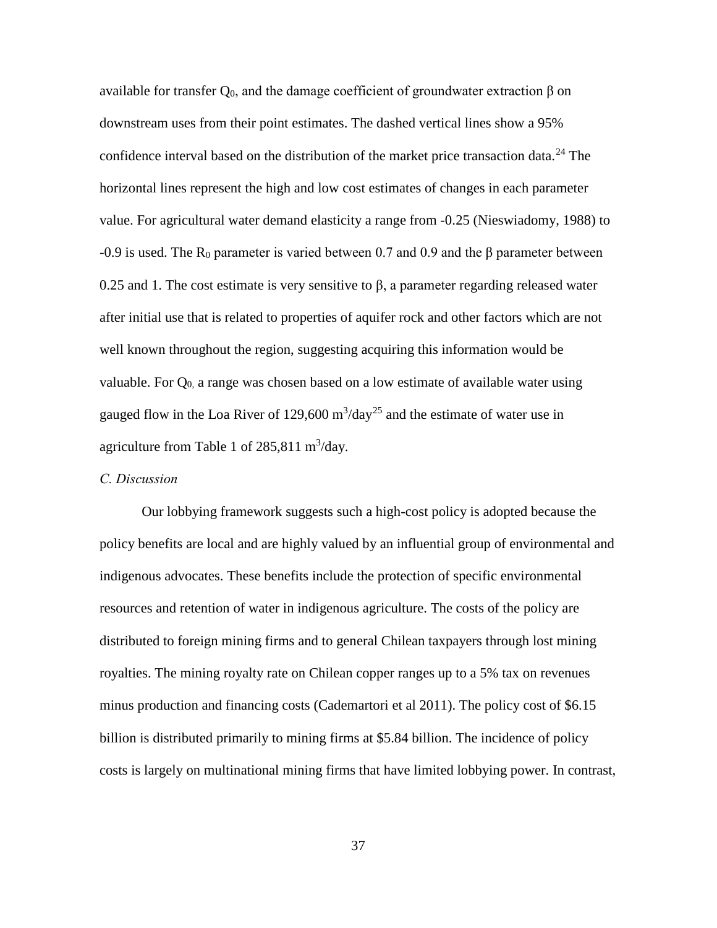available for transfer  $Q_0$ , and the damage coefficient of groundwater extraction β on downstream uses from their point estimates. The dashed vertical lines show a 95% confidence interval based on the distribution of the market price transaction data.<sup>[24](#page-54-0)</sup> The horizontal lines represent the high and low cost estimates of changes in each parameter value. For agricultural water demand elasticity a range from -0.25 (Nieswiadomy, 1988) to  $-0.9$  is used. The R<sub>0</sub> parameter is varied between 0.7 and 0.9 and the β parameter between 0.25 and 1. The cost estimate is very sensitive to β, a parameter regarding released water after initial use that is related to properties of aquifer rock and other factors which are not well known throughout the region, suggesting acquiring this information would be valuable. For  $Q_0$  a range was chosen based on a low estimate of available water using gauged flow in the Loa River of 129,600  $\text{m}^3/\text{day}^{25}$  $\text{m}^3/\text{day}^{25}$  $\text{m}^3/\text{day}^{25}$  and the estimate of water use in agriculture from Table 1 of  $285,811 \text{ m}^3/\text{day}$ .

## *C. Discussion*

Our lobbying framework suggests such a high-cost policy is adopted because the policy benefits are local and are highly valued by an influential group of environmental and indigenous advocates. These benefits include the protection of specific environmental resources and retention of water in indigenous agriculture. The costs of the policy are distributed to foreign mining firms and to general Chilean taxpayers through lost mining royalties. The mining royalty rate on Chilean copper ranges up to a 5% tax on revenues minus production and financing costs (Cademartori et al 2011). The policy cost of \$6.15 billion is distributed primarily to mining firms at \$5.84 billion. The incidence of policy costs is largely on multinational mining firms that have limited lobbying power. In contrast,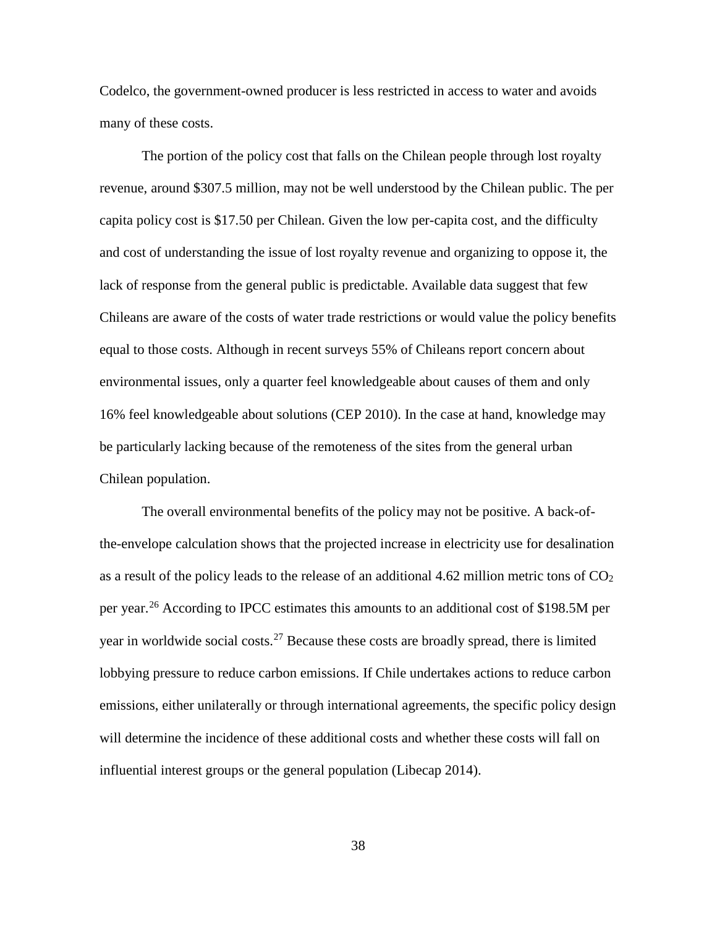Codelco, the government-owned producer is less restricted in access to water and avoids many of these costs.

The portion of the policy cost that falls on the Chilean people through lost royalty revenue, around \$307.5 million, may not be well understood by the Chilean public. The per capita policy cost is \$17.50 per Chilean. Given the low per-capita cost, and the difficulty and cost of understanding the issue of lost royalty revenue and organizing to oppose it, the lack of response from the general public is predictable. Available data suggest that few Chileans are aware of the costs of water trade restrictions or would value the policy benefits equal to those costs. Although in recent surveys 55% of Chileans report concern about environmental issues, only a quarter feel knowledgeable about causes of them and only 16% feel knowledgeable about solutions (CEP 2010). In the case at hand, knowledge may be particularly lacking because of the remoteness of the sites from the general urban Chilean population.

The overall environmental benefits of the policy may not be positive. A back-ofthe-envelope calculation shows that the projected increase in electricity use for desalination as a result of the policy leads to the release of an additional 4.62 million metric tons of  $CO<sub>2</sub>$ per year.[26](#page-54-2) According to IPCC estimates this amounts to an additional cost of \$198.5M per year in worldwide social costs.<sup>[27](#page-54-3)</sup> Because these costs are broadly spread, there is limited lobbying pressure to reduce carbon emissions. If Chile undertakes actions to reduce carbon emissions, either unilaterally or through international agreements, the specific policy design will determine the incidence of these additional costs and whether these costs will fall on influential interest groups or the general population (Libecap 2014).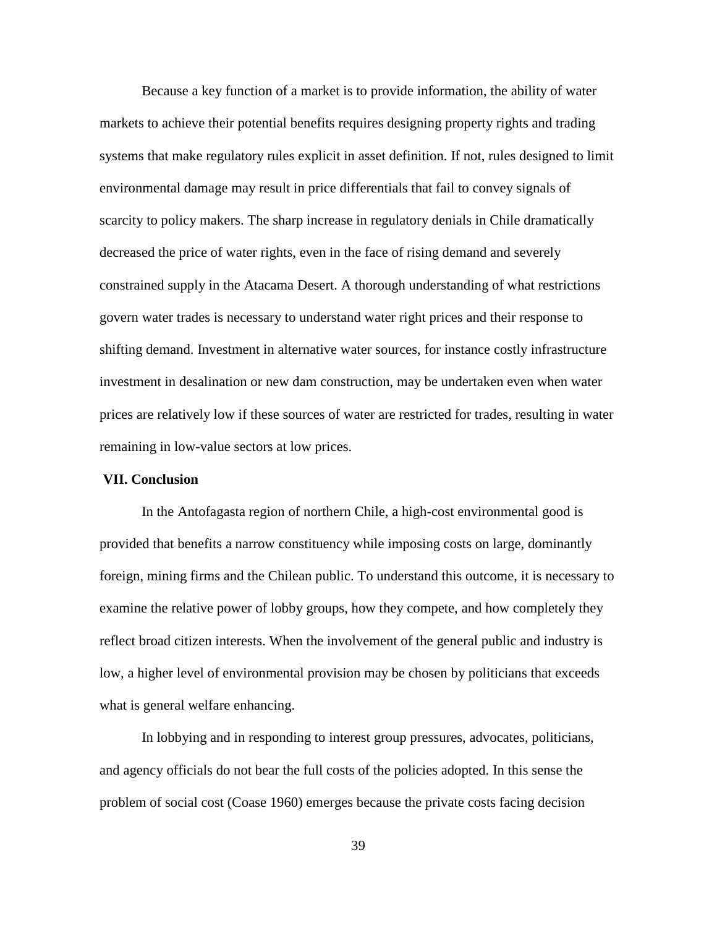Because a key function of a market is to provide information, the ability of water markets to achieve their potential benefits requires designing property rights and trading systems that make regulatory rules explicit in asset definition. If not, rules designed to limit environmental damage may result in price differentials that fail to convey signals of scarcity to policy makers. The sharp increase in regulatory denials in Chile dramatically decreased the price of water rights, even in the face of rising demand and severely constrained supply in the Atacama Desert. A thorough understanding of what restrictions govern water trades is necessary to understand water right prices and their response to shifting demand. Investment in alternative water sources, for instance costly infrastructure investment in desalination or new dam construction, may be undertaken even when water prices are relatively low if these sources of water are restricted for trades, resulting in water remaining in low-value sectors at low prices.

#### **VII. Conclusion**

 In the Antofagasta region of northern Chile, a high-cost environmental good is provided that benefits a narrow constituency while imposing costs on large, dominantly foreign, mining firms and the Chilean public. To understand this outcome, it is necessary to examine the relative power of lobby groups, how they compete, and how completely they reflect broad citizen interests. When the involvement of the general public and industry is low, a higher level of environmental provision may be chosen by politicians that exceeds what is general welfare enhancing.

 In lobbying and in responding to interest group pressures, advocates, politicians, and agency officials do not bear the full costs of the policies adopted. In this sense the problem of social cost (Coase 1960) emerges because the private costs facing decision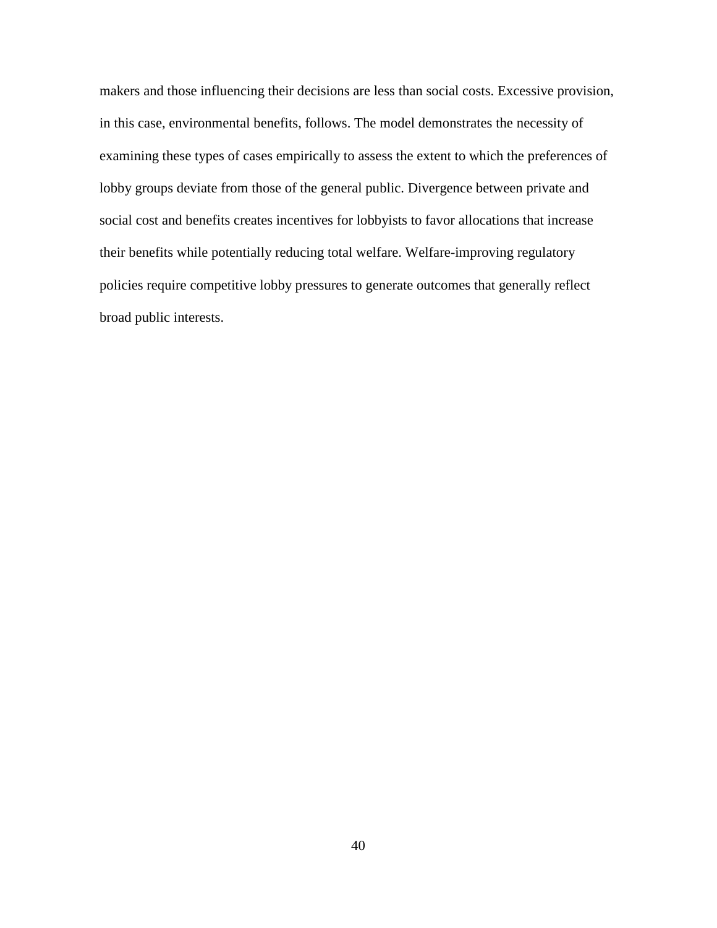makers and those influencing their decisions are less than social costs. Excessive provision, in this case, environmental benefits, follows. The model demonstrates the necessity of examining these types of cases empirically to assess the extent to which the preferences of lobby groups deviate from those of the general public. Divergence between private and social cost and benefits creates incentives for lobbyists to favor allocations that increase their benefits while potentially reducing total welfare. Welfare-improving regulatory policies require competitive lobby pressures to generate outcomes that generally reflect broad public interests.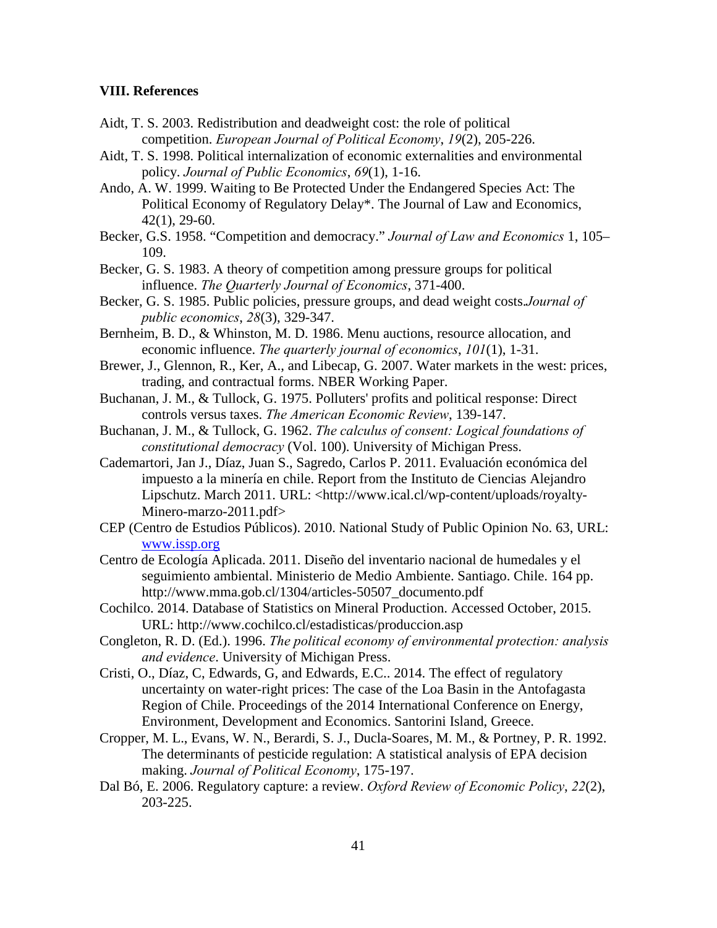### **VIII. References**

- Aidt, T. S. 2003. Redistribution and deadweight cost: the role of political competition. *European Journal of Political Economy*, *19*(2), 205-226.
- Aidt, T. S. 1998. Political internalization of economic externalities and environmental policy. *Journal of Public Economics*, *69*(1), 1-16.
- Ando, A. W. 1999. Waiting to Be Protected Under the Endangered Species Act: The Political Economy of Regulatory Delay\*. The Journal of Law and Economics, 42(1), 29-60.
- Becker, G.S. 1958. "Competition and democracy." *Journal of Law and Economics* 1, 105– 109.
- Becker, G. S. 1983. A theory of competition among pressure groups for political influence. *The Quarterly Journal of Economics*, 371-400.
- Becker, G. S. 1985. Public policies, pressure groups, and dead weight costs.*Journal of public economics*, *28*(3), 329-347.
- Bernheim, B. D., & Whinston, M. D. 1986. Menu auctions, resource allocation, and economic influence. *The quarterly journal of economics*, *101*(1), 1-31.
- Brewer, J., Glennon, R., Ker, A., and Libecap, G. 2007. Water markets in the west: prices, trading, and contractual forms. NBER Working Paper.
- Buchanan, J. M., & Tullock, G. 1975. Polluters' profits and political response: Direct controls versus taxes. *The American Economic Review*, 139-147.
- Buchanan, J. M., & Tullock, G. 1962. *The calculus of consent: Logical foundations of constitutional democracy* (Vol. 100). University of Michigan Press.
- Cademartori, Jan J., Díaz, Juan S., Sagredo, Carlos P. 2011. Evaluación económica del impuesto a la minería en chile. Report from the Instituto de Ciencias Alejandro Lipschutz. March 2011. URL: <http://www.ical.cl/wp-content/uploads/royalty-Minero-marzo-2011.pdf>
- CEP (Centro de Estudios Públicos). 2010. National Study of Public Opinion No. 63, URL: [www.issp.org](http://www.issp.org/)
- Centro de Ecología Aplicada. 2011. Diseño del inventario nacional de humedales y el seguimiento ambiental. Ministerio de Medio Ambiente. Santiago. Chile. 164 pp. http://www.mma.gob.cl/1304/articles-50507\_documento.pdf
- Cochilco. 2014. Database of Statistics on Mineral Production. Accessed October, 2015. URL: http://www.cochilco.cl/estadisticas/produccion.asp
- Congleton, R. D. (Ed.). 1996. *The political economy of environmental protection: analysis and evidence*. University of Michigan Press.
- Cristi, O., Díaz, C, Edwards, G, and Edwards, E.C.. 2014. The effect of regulatory uncertainty on water-right prices: The case of the Loa Basin in the Antofagasta Region of Chile. Proceedings of the 2014 International Conference on Energy, Environment, Development and Economics. Santorini Island, Greece.
- Cropper, M. L., Evans, W. N., Berardi, S. J., Ducla-Soares, M. M., & Portney, P. R. 1992. The determinants of pesticide regulation: A statistical analysis of EPA decision making. *Journal of Political Economy*, 175-197.
- Dal Bó, E. 2006. Regulatory capture: a review. *Oxford Review of Economic Policy*, *22*(2), 203-225.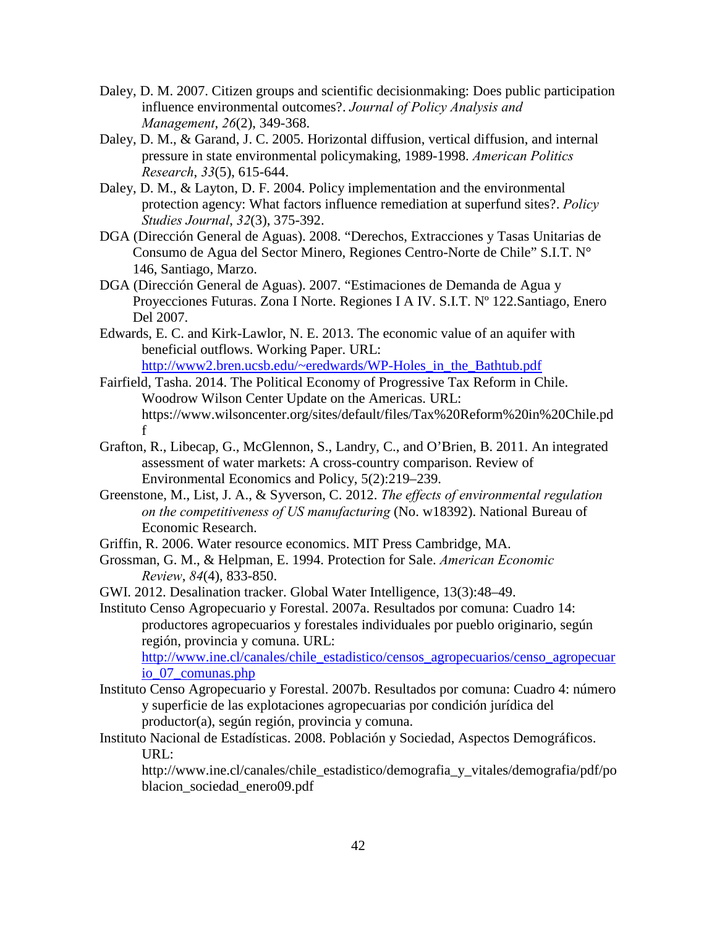- Daley, D. M. 2007. Citizen groups and scientific decisionmaking: Does public participation influence environmental outcomes?. *Journal of Policy Analysis and Management*, *26*(2), 349-368.
- Daley, D. M., & Garand, J. C. 2005. Horizontal diffusion, vertical diffusion, and internal pressure in state environmental policymaking, 1989-1998. *American Politics Research*, *33*(5), 615-644.
- Daley, D. M., & Layton, D. F. 2004. Policy implementation and the environmental protection agency: What factors influence remediation at superfund sites?. *Policy Studies Journal*, *32*(3), 375-392.
- DGA (Dirección General de Aguas). 2008. "Derechos, Extracciones y Tasas Unitarias de Consumo de Agua del Sector Minero, Regiones Centro-Norte de Chile" S.I.T. N° 146, Santiago, Marzo.
- DGA (Dirección General de Aguas). 2007. "Estimaciones de Demanda de Agua y Proyecciones Futuras. Zona I Norte. Regiones I A IV. S.I.T. Nº 122.Santiago, Enero Del 2007.
- Edwards, E. C. and Kirk-Lawlor, N. E. 2013. The economic value of an aquifer with beneficial outflows. Working Paper. URL: [http://www2.bren.ucsb.edu/~eredwards/WP-Holes\\_in\\_the\\_Bathtub.pdf](http://www2.bren.ucsb.edu/%7Eeredwards/WP-Holes_in_the_Bathtub.pdf)
- Fairfield, Tasha. 2014. The Political Economy of Progressive Tax Reform in Chile. Woodrow Wilson Center Update on the Americas. URL: https://www.wilsoncenter.org/sites/default/files/Tax%20Reform%20in%20Chile.pd f
- Grafton, R., Libecap, G., McGlennon, S., Landry, C., and O'Brien, B. 2011. An integrated assessment of water markets: A cross-country comparison. Review of Environmental Economics and Policy, 5(2):219–239.
- Greenstone, M., List, J. A., & Syverson, C. 2012. *The effects of environmental regulation on the competitiveness of US manufacturing* (No. w18392). National Bureau of Economic Research.
- Griffin, R. 2006. Water resource economics. MIT Press Cambridge, MA.
- Grossman, G. M., & Helpman, E. 1994. Protection for Sale. *American Economic Review*, *84*(4), 833-850.

GWI. 2012. Desalination tracker. Global Water Intelligence, 13(3):48–49.

Instituto Censo Agropecuario y Forestal. 2007a. Resultados por comuna: Cuadro 14: productores agropecuarios y forestales individuales por pueblo originario, según región, provincia y comuna. URL:

[http://www.ine.cl/canales/chile\\_estadistico/censos\\_agropecuarios/censo\\_agropecuar](http://www.ine.cl/canales/chile_estadistico/censos_agropecuarios/censo_agropecuario_07_comunas.php) [io\\_07\\_comunas.php](http://www.ine.cl/canales/chile_estadistico/censos_agropecuarios/censo_agropecuario_07_comunas.php)

- Instituto Censo Agropecuario y Forestal. 2007b. Resultados por comuna: Cuadro 4: número y superficie de las explotaciones agropecuarias por condición jurídica del productor(a), según región, provincia y comuna.
- Instituto Nacional de Estadísticas. 2008. Población y Sociedad, Aspectos Demográficos. URL:

http://www.ine.cl/canales/chile\_estadistico/demografia\_y\_vitales/demografia/pdf/po blacion\_sociedad\_enero09.pdf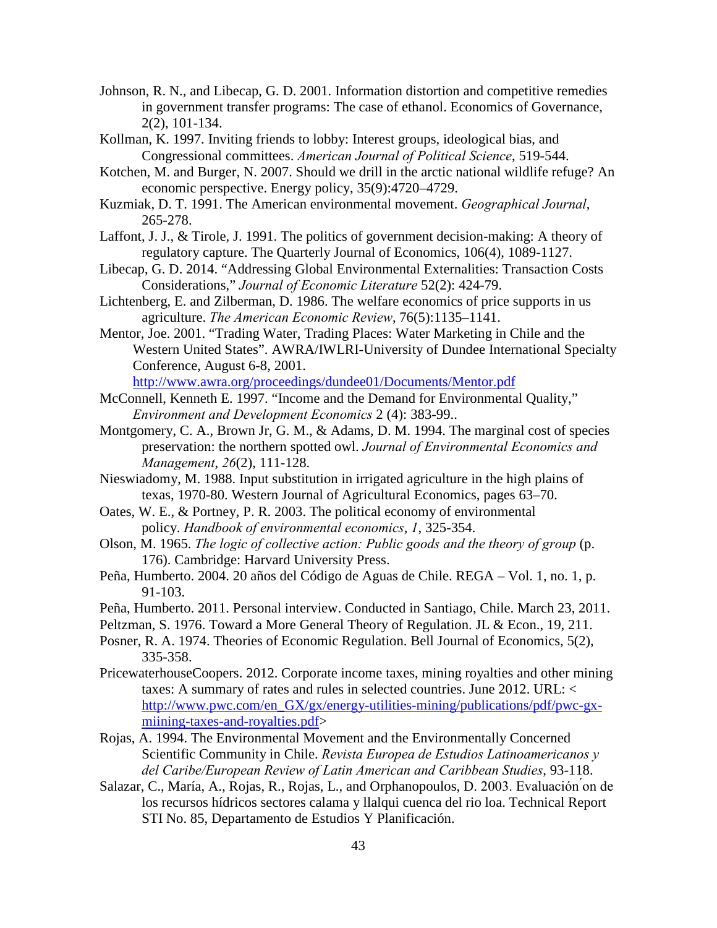- Johnson, R. N., and Libecap, G. D. 2001. Information distortion and competitive remedies in government transfer programs: The case of ethanol. Economics of Governance, 2(2), 101-134.
- Kollman, K. 1997. Inviting friends to lobby: Interest groups, ideological bias, and Congressional committees. *American Journal of Political Science*, 519-544.
- Kotchen, M. and Burger, N. 2007. Should we drill in the arctic national wildlife refuge? An economic perspective. Energy policy, 35(9):4720–4729.
- Kuzmiak, D. T. 1991. The American environmental movement. *Geographical Journal*, 265-278.
- Laffont, J. J., & Tirole, J. 1991. The politics of government decision-making: A theory of regulatory capture. The Quarterly Journal of Economics, 106(4), 1089-1127.
- Libecap, G. D. 2014. "Addressing Global Environmental Externalities: Transaction Costs Considerations," *Journal of Economic Literature* 52(2): 424-79.
- Lichtenberg, E. and Zilberman, D. 1986. The welfare economics of price supports in us agriculture. *The American Economic Review*, 76(5):1135–1141.
- Mentor, Joe. 2001. "Trading Water, Trading Places: Water Marketing in Chile and the Western United States". AWRA/IWLRI-University of Dundee International Specialty Conference, August 6-8, 2001.

<http://www.awra.org/proceedings/dundee01/Documents/Mentor.pdf>

- McConnell, Kenneth E. 1997. "Income and the Demand for Environmental Quality," *Environment and Development Economics* 2 (4): 383-99..
- Montgomery, C. A., Brown Jr, G. M., & Adams, D. M. 1994. The marginal cost of species preservation: the northern spotted owl. *Journal of Environmental Economics and Management*, *26*(2), 111-128.
- Nieswiadomy, M. 1988. Input substitution in irrigated agriculture in the high plains of texas, 1970-80. Western Journal of Agricultural Economics, pages 63–70.
- Oates, W. E., & Portney, P. R. 2003. The political economy of environmental policy. *Handbook of environmental economics*, *1*, 325-354.
- Olson, M. 1965. *The logic of collective action: Public goods and the theory of group* (p. 176). Cambridge: Harvard University Press.
- Peña, Humberto. 2004. 20 años del Código de Aguas de Chile. REGA Vol. 1, no. 1, p. 91-103.
- Peña, Humberto. 2011. Personal interview. Conducted in Santiago, Chile. March 23, 2011.
- Peltzman, S. 1976. Toward a More General Theory of Regulation. JL & Econ., 19, 211.
- Posner, R. A. 1974. Theories of Economic Regulation. Bell Journal of Economics, 5(2), 335-358.
- PricewaterhouseCoopers. 2012. Corporate income taxes, mining royalties and other mining taxes: A summary of rates and rules in selected countries. June 2012. URL: < [http://www.pwc.com/en\\_GX/gx/energy-utilities-mining/publications/pdf/pwc-gx](http://www.pwc.com/en_GX/gx/energy-utilities-mining/publications/pdf/pwc-gx-miining-taxes-and-royalties.pdf)[miining-taxes-and-royalties.pdf>](http://www.pwc.com/en_GX/gx/energy-utilities-mining/publications/pdf/pwc-gx-miining-taxes-and-royalties.pdf)
- Rojas, A. 1994. The Environmental Movement and the Environmentally Concerned Scientific Community in Chile. *Revista Europea de Estudios Latinoamericanos y del Caribe/European Review of Latin American and Caribbean Studies*, 93-118.
- Salazar, C., María, A., Rojas, R., Rojas, L., and Orphanopoulos, D. 2003. Evaluación ́on de los recursos hídricos sectores calama y llalqui cuenca del rio loa. Technical Report STI No. 85, Departamento de Estudios Y Planificación.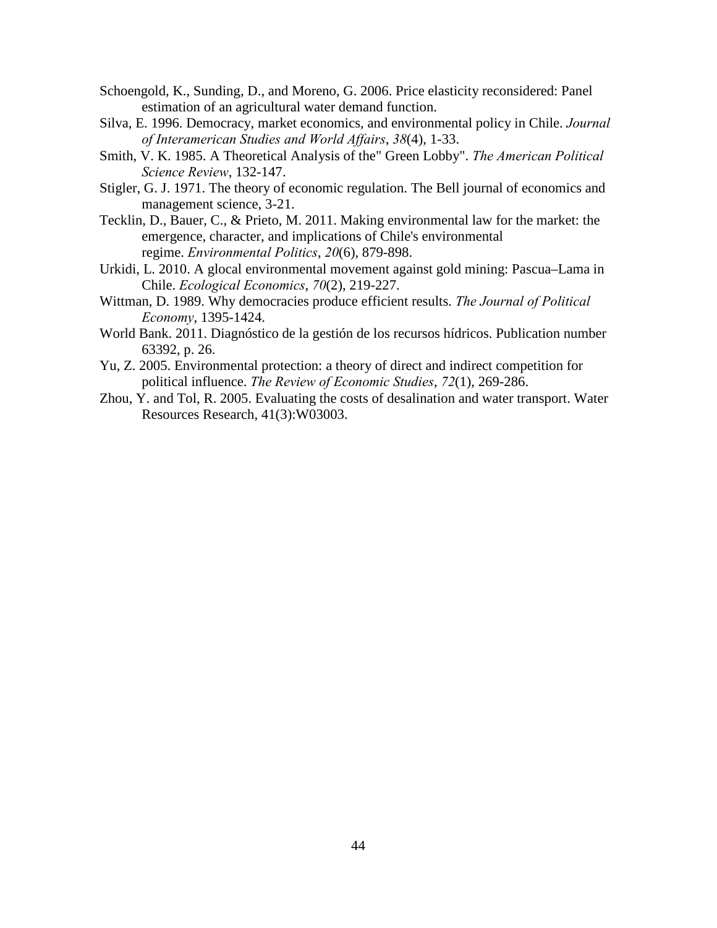- Schoengold, K., Sunding, D., and Moreno, G. 2006. Price elasticity reconsidered: Panel estimation of an agricultural water demand function.
- Silva, E. 1996. Democracy, market economics, and environmental policy in Chile. *Journal of Interamerican Studies and World Affairs*, *38*(4), 1-33.
- Smith, V. K. 1985. A Theoretical Analysis of the" Green Lobby". *The American Political Science Review*, 132-147.
- Stigler, G. J. 1971. The theory of economic regulation. The Bell journal of economics and management science, 3-21.
- Tecklin, D., Bauer, C., & Prieto, M. 2011. Making environmental law for the market: the emergence, character, and implications of Chile's environmental regime. *Environmental Politics*, *20*(6), 879-898.
- Urkidi, L. 2010. A glocal environmental movement against gold mining: Pascua–Lama in Chile. *Ecological Economics*, *70*(2), 219-227.
- Wittman, D. 1989. Why democracies produce efficient results. *The Journal of Political Economy*, 1395-1424.
- World Bank. 2011. Diagnóstico de la gestión de los recursos hídricos. Publication number 63392, p. 26.
- Yu, Z. 2005. Environmental protection: a theory of direct and indirect competition for political influence. *The Review of Economic Studies*, *72*(1), 269-286.
- Zhou, Y. and Tol, R. 2005. Evaluating the costs of desalination and water transport. Water Resources Research, 41(3):W03003.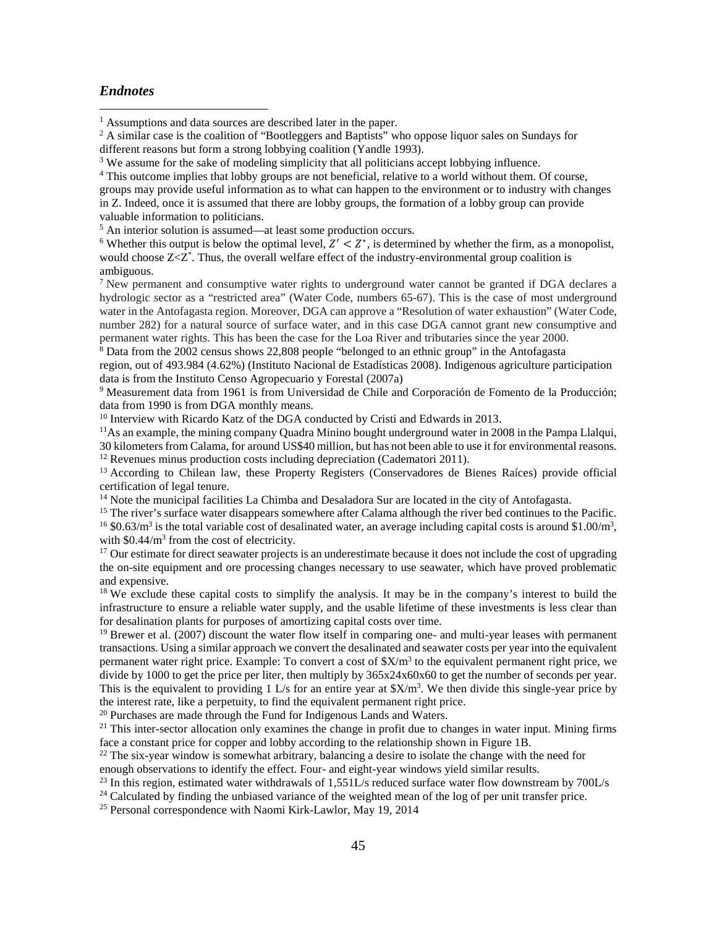#### *Endnotes*

<sup>5</sup> An interior solution is assumed—at least some production occurs.

<sup>6</sup> Whether this output is below the optimal level,  $Z' < Z^*$ , is determined by whether the firm, as a monopolist, would choose Z<Z<sup>\*</sup>. Thus, the overall welfare effect of the industry-environmental group coalition is ambiguous.

 $<sup>7</sup>$  New permanent and consumptive water rights to underground water cannot be granted if DGA declares a</sup> hydrologic sector as a "restricted area" (Water Code, numbers 65-67). This is the case of most underground water in the Antofagasta region. Moreover, DGA can approve a "Resolution of water exhaustion" (Water Code, number 282) for a natural source of surface water, and in this case DGA cannot grant new consumptive and permanent water rights. This has been the case for the Loa River and tributaries since the year 2000.

 $8$  Data from the 2002 census shows 22,808 people "belonged to an ethnic group" in the Antofagasta

region, out of 493.984 (4.62%) (Instituto Nacional de Estadísticas 2008). Indigenous agriculture participation data is from the Instituto Censo Agropecuario y Forestal (2007a)

<sup>9</sup> Measurement data from 1961 is from Universidad de Chile and Corporación de Fomento de la Producción; data from 1990 is from DGA monthly means.

<sup>10</sup> Interview with Ricardo Katz of the DGA conducted by Cristi and Edwards in 2013.

<sup>11</sup>As an example, the mining company Quadra Minino bought underground water in 2008 in the Pampa Llalqui, 30 kilometers from Calama, for around US\$40 million, but has not been able to use it for environmental reasons. 12 Revenues minus production costs including depreciation (Cadematori 2011).

<sup>13</sup> According to Chilean law, these Property Registers (Conservadores de Bienes Raíces) provide official certification of legal tenure.

<sup>14</sup> Note the municipal facilities La Chimba and Desaladora Sur are located in the city of Antofagasta.

<sup>15</sup> The river's surface water disappears somewhere after Calama although the river bed continues to the Pacific. <sup>16</sup> \$0.63/m<sup>3</sup> is the total variable cost of desalinated water, an average including capital costs is around \$1.00/m<sup>3</sup>, with  $$0.44/m<sup>3</sup>$  from the cost of electricity.

<sup>17</sup> Our estimate for direct seawater projects is an underestimate because it does not include the cost of upgrading the on-site equipment and ore processing changes necessary to use seawater, which have proved problematic and expensive.

<sup>18</sup> We exclude these capital costs to simplify the analysis. It may be in the company's interest to build the infrastructure to ensure a reliable water supply, and the usable lifetime of these investments is less clear than for desalination plants for purposes of amortizing capital costs over time.

<sup>19</sup> Brewer et al. (2007) discount the water flow itself in comparing one- and multi-year leases with permanent transactions. Using a similar approach we convert the desalinated and seawater costs per year into the equivalent permanent water right price. Example: To convert a cost of  $\frac{X}{m^3}$  to the equivalent permanent right price, we divide by 1000 to get the price per liter, then multiply by 365x24x60x60 to get the number of seconds per year. This is the equivalent to providing 1 L/s for an entire year at  $X/m<sup>3</sup>$ . We then divide this single-year price by the interest rate, like a perpetuity, to find the equivalent permanent right price.

<sup>20</sup> Purchases are made through the Fund for Indigenous Lands and Waters.

<sup>21</sup> This inter-sector allocation only examines the change in profit due to changes in water input. Mining firms face a constant price for copper and lobby according to the relationship shown in Figure 1B.

<sup>22</sup> The six-year window is somewhat arbitrary, balancing a desire to isolate the change with the need for enough observations to identify the effect. Four- and eight-year windows yield similar results.

<sup>23</sup> In this region, estimated water withdrawals of 1,551L/s reduced surface water flow downstream by 700L/s

<sup>24</sup> Calculated by finding the unbiased variance of the weighted mean of the log of per unit transfer price.

25 Personal correspondence with Naomi Kirk-Lawlor, May 19, 2014

<span id="page-45-0"></span><sup>&</sup>lt;sup>1</sup> Assumptions and data sources are described later in the paper.  $\overline{\phantom{a}}$ 

<span id="page-45-1"></span><sup>&</sup>lt;sup>2</sup> A similar case is the coalition of "Bootleggers and Baptists" who oppose liquor sales on Sundays for different reasons but form a strong lobbying coalition (Yandle 1993).

<sup>&</sup>lt;sup>3</sup> We assume for the sake of modeling simplicity that all politicians accept lobbying influence.

<sup>4</sup> This outcome implies that lobby groups are not beneficial, relative to a world without them. Of course, groups may provide useful information as to what can happen to the environment or to industry with changes in Z. Indeed, once it is assumed that there are lobby groups, the formation of a lobby group can provide valuable information to politicians.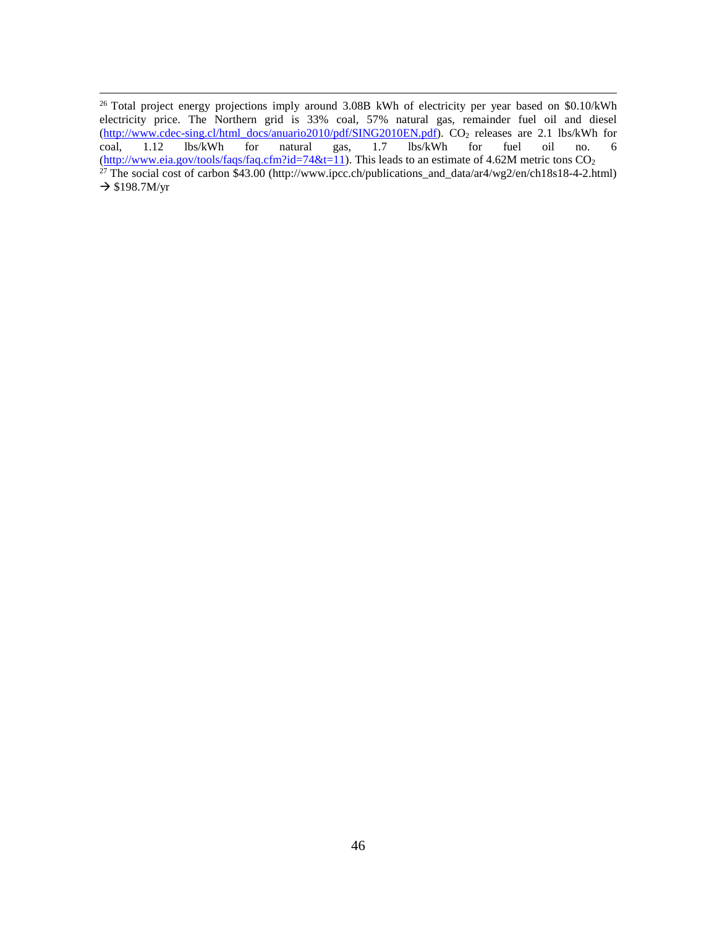<span id="page-46-0"></span><sup>26</sup> Total project energy projections imply around 3.08B kWh of electricity per year based on \$0.10/kWh electricity price. The Northern grid is 33% coal, 57% natural gas, remainder fuel oil and diesel (http://www.cdec-sing.cl/html docs/anuario2010/pdf/SING2010EN.pdf). CO<sub>2</sub> releases are 2.1 lbs/kWh for coal, 1.12 lbs/kWh for natural gas, 1.7 lbs/kWh for fuel oil no. 6 coal, 1.12 lbs/kWh for natural gas, 1.7 lbs/kWh for fuel oil no. 6 [\(http://www.eia.gov/tools/faqs/faq.cfm?id=74&t=11\)](http://www.eia.gov/tools/faqs/faq.cfm?id=74&t=11). This leads to an estimate of 4.62M metric tons CO<sub>2</sub> <sup>27</sup> The social cost of carbon \$43.00 (http://www.ipcc.ch/publications\_and\_data/ar4/wg2/en/ch18s18-4-2.html)  $\rightarrow$  \$198.7M/yr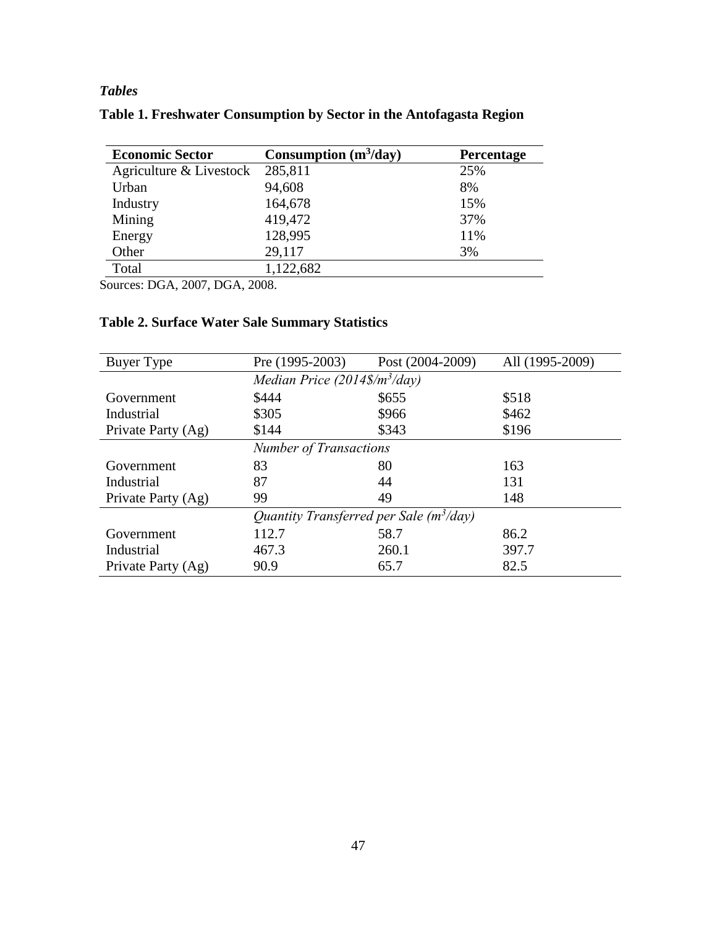# *Tables*

| Table 1. Freshwater Consumption by Sector in the Antofagasta Region |  |  |  |
|---------------------------------------------------------------------|--|--|--|
|                                                                     |  |  |  |

<span id="page-47-0"></span>

| <b>Economic Sector</b>  | Consumption $(m^3/day)$ | <b>Percentage</b> |
|-------------------------|-------------------------|-------------------|
| Agriculture & Livestock | 285,811                 | 25%               |
| Urban                   | 94,608                  | 8%                |
| Industry                | 164,678                 | 15%               |
| Mining                  | 419,472                 | 37%               |
| Energy                  | 128,995                 | 11%               |
| Other                   | 29,117                  | 3%                |
| Total                   | 1,122,682               |                   |

<span id="page-47-3"></span><span id="page-47-2"></span><span id="page-47-1"></span>Sources: DGA, 2007, DGA, 2008.

# **Table 2. Surface Water Sale Summary Statistics**

| Buyer Type                                | Pre (1995-2003)                 | Post (2004-2009) | All (1995-2009) |  |  |  |
|-------------------------------------------|---------------------------------|------------------|-----------------|--|--|--|
|                                           | Median Price $(2014\$/m^3/day)$ |                  |                 |  |  |  |
| Government                                | \$444                           | \$655            | \$518           |  |  |  |
| Industrial                                | \$305                           | \$966            | \$462           |  |  |  |
| Private Party (Ag)                        | \$144                           | \$343            | \$196           |  |  |  |
|                                           | <b>Number of Transactions</b>   |                  |                 |  |  |  |
| Government                                | 83                              | 80               | 163             |  |  |  |
| Industrial                                | 87                              | 44               | 131             |  |  |  |
| Private Party (Ag)                        | 99                              | 49               | 148             |  |  |  |
| Quantity Transferred per Sale $(m^3/day)$ |                                 |                  |                 |  |  |  |
| Government                                | 112.7                           | 58.7             | 86.2            |  |  |  |
| Industrial                                | 467.3                           | 260.1            | 397.7           |  |  |  |
| Private Party (Ag)                        | 90.9                            | 65.7             | 82.5            |  |  |  |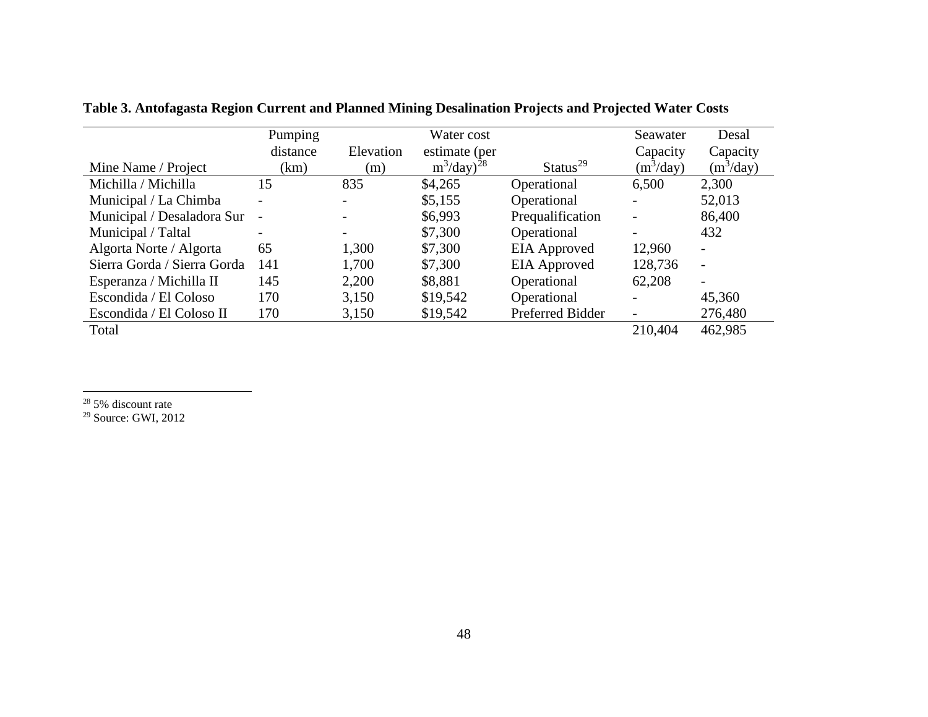|                             | Pumping           |           | Water cost                |                      | Seawater                 | Desal       |
|-----------------------------|-------------------|-----------|---------------------------|----------------------|--------------------------|-------------|
|                             | distance          | Elevation | estimate (per             |                      | Capacity                 | Capacity    |
| Mine Name / Project         | (km)              | (m)       | $m^3$ /day) <sup>28</sup> | Status <sup>29</sup> | $(m^3$ /day)             | $(m^3/day)$ |
| Michilla / Michilla         | 15                | 835       | \$4,265                   | Operational          | 6,500                    | 2,300       |
| Municipal / La Chimba       |                   |           | \$5,155                   | Operational          | $\overline{\phantom{0}}$ | 52,013      |
| Municipal / Desaladora Sur  | $\qquad \qquad -$ |           | \$6,993                   | Prequalification     | $\overline{\phantom{a}}$ | 86,400      |
| Municipal / Taltal          |                   |           | \$7,300                   | Operational          | -                        | 432         |
| Algorta Norte / Algorta     | 65                | 1,300     | \$7,300                   | <b>EIA</b> Approved  | 12,960                   |             |
| Sierra Gorda / Sierra Gorda | 141               | 1,700     | \$7,300                   | <b>EIA</b> Approved  | 128,736                  |             |
| Esperanza / Michilla II     | 145               | 2,200     | \$8,881                   | Operational          | 62,208                   |             |
| Escondida / El Coloso       | 170               | 3,150     | \$19,542                  | Operational          | $\overline{\phantom{0}}$ | 45,360      |
| Escondida / El Coloso II    | 170               | 3,150     | \$19,542                  | Preferred Bidder     | $\overline{\phantom{a}}$ | 276,480     |
| Total                       |                   |           |                           |                      | 210,404                  | 462,985     |

<span id="page-48-3"></span><span id="page-48-2"></span>**Table 3. Antofagasta Region Current and Planned Mining Desalination Projects and Projected Water Costs**

<span id="page-48-1"></span><span id="page-48-0"></span> $28\,5\%$  discount rate  $\overline{a}$ 

<sup>29</sup> Source: GWI, 2012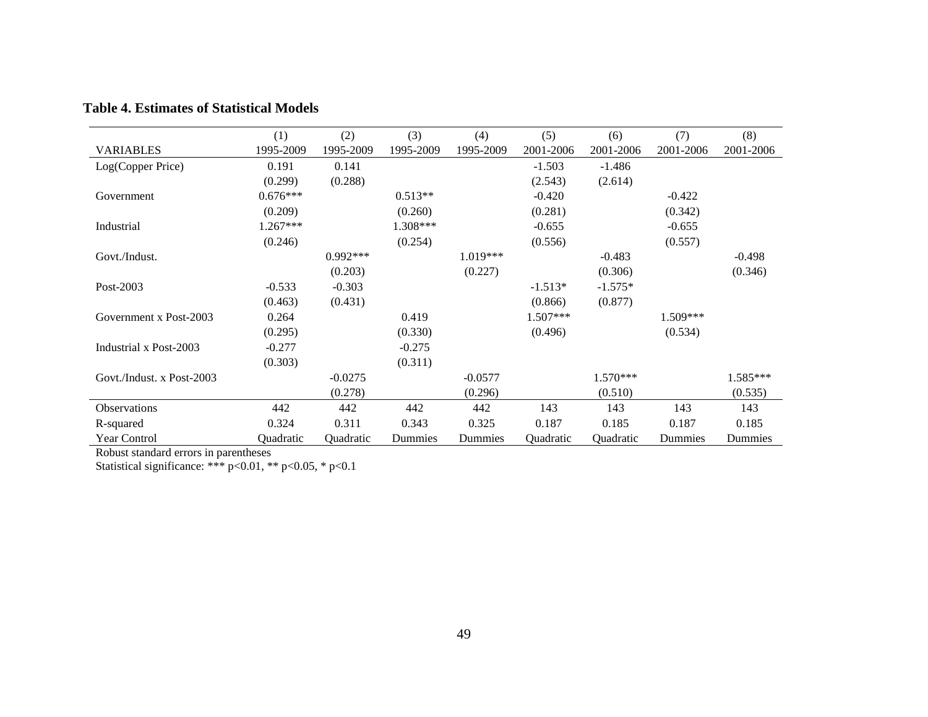|                           | (1)        | (2)        | (3)       | (4)       | (5)        | (6)       | (7)       | (8)       |
|---------------------------|------------|------------|-----------|-----------|------------|-----------|-----------|-----------|
| <b>VARIABLES</b>          | 1995-2009  | 1995-2009  | 1995-2009 | 1995-2009 | 2001-2006  | 2001-2006 | 2001-2006 | 2001-2006 |
| Log(Copper Price)         | 0.191      | 0.141      |           |           | $-1.503$   | $-1.486$  |           |           |
|                           | (0.299)    | (0.288)    |           |           | (2.543)    | (2.614)   |           |           |
| Government                | $0.676***$ |            | $0.513**$ |           | $-0.420$   |           | $-0.422$  |           |
|                           | (0.209)    |            | (0.260)   |           | (0.281)    |           | (0.342)   |           |
| Industrial                | $1.267***$ |            | 1.308***  |           | $-0.655$   |           | $-0.655$  |           |
|                           | (0.246)    |            | (0.254)   |           | (0.556)    |           | (0.557)   |           |
| Govt./Indust.             |            | $0.992***$ |           | 1.019***  |            | $-0.483$  |           | $-0.498$  |
|                           |            | (0.203)    |           | (0.227)   |            | (0.306)   |           | (0.346)   |
| Post-2003                 | $-0.533$   | $-0.303$   |           |           | $-1.513*$  | $-1.575*$ |           |           |
|                           | (0.463)    | (0.431)    |           |           | (0.866)    | (0.877)   |           |           |
| Government x Post-2003    | 0.264      |            | 0.419     |           | $1.507***$ |           | 1.509***  |           |
|                           | (0.295)    |            | (0.330)   |           | (0.496)    |           | (0.534)   |           |
| Industrial x Post-2003    | $-0.277$   |            | $-0.275$  |           |            |           |           |           |
|                           | (0.303)    |            | (0.311)   |           |            |           |           |           |
| Govt./Indust. x Post-2003 |            | $-0.0275$  |           | $-0.0577$ |            | 1.570***  |           | 1.585***  |
|                           |            | (0.278)    |           | (0.296)   |            | (0.510)   |           | (0.535)   |
| <b>Observations</b>       | 442        | 442        | 442       | 442       | 143        | 143       | 143       | 143       |
| R-squared                 | 0.324      | 0.311      | 0.343     | 0.325     | 0.187      | 0.185     | 0.187     | 0.185     |
| <b>Year Control</b>       | Quadratic  | Quadratic  | Dummies   | Dummies   | Quadratic  | Quadratic | Dummies   | Dummies   |

## **Table 4. Estimates of Statistical Models**

<span id="page-49-1"></span><span id="page-49-0"></span>Robust standard errors in parentheses

<span id="page-49-2"></span>Statistical significance: \*\*\* p<0.01, \*\* p<0.05, \* p<0.1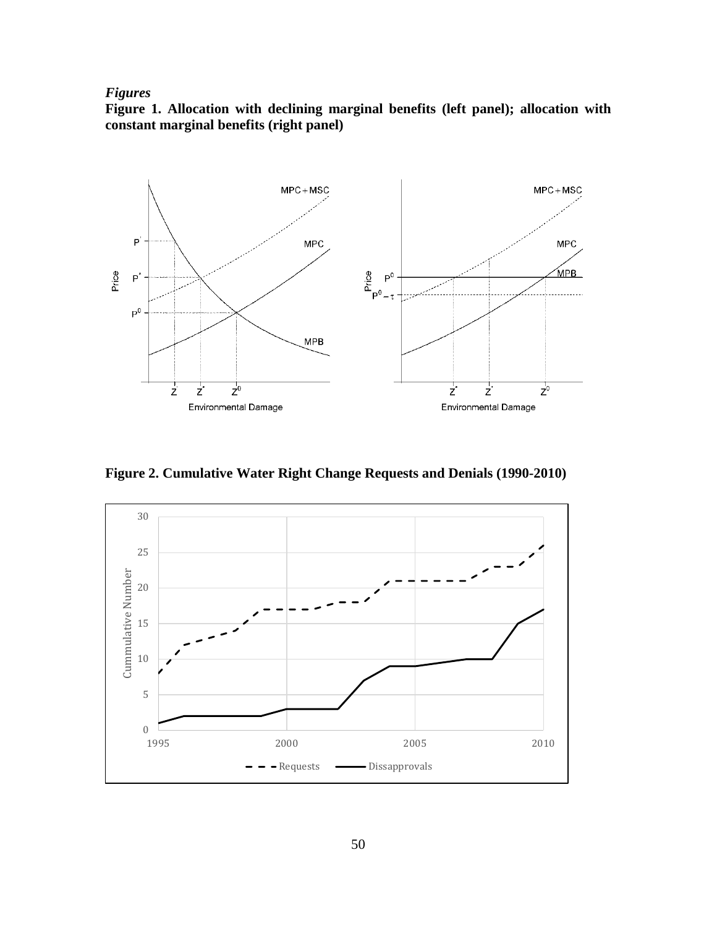## *Figures*

**Figure 1. Allocation with declining marginal benefits (left panel); allocation with constant marginal benefits (right panel)**



**Figure 2. Cumulative Water Right Change Requests and Denials (1990-2010)**

<span id="page-50-2"></span><span id="page-50-1"></span><span id="page-50-0"></span>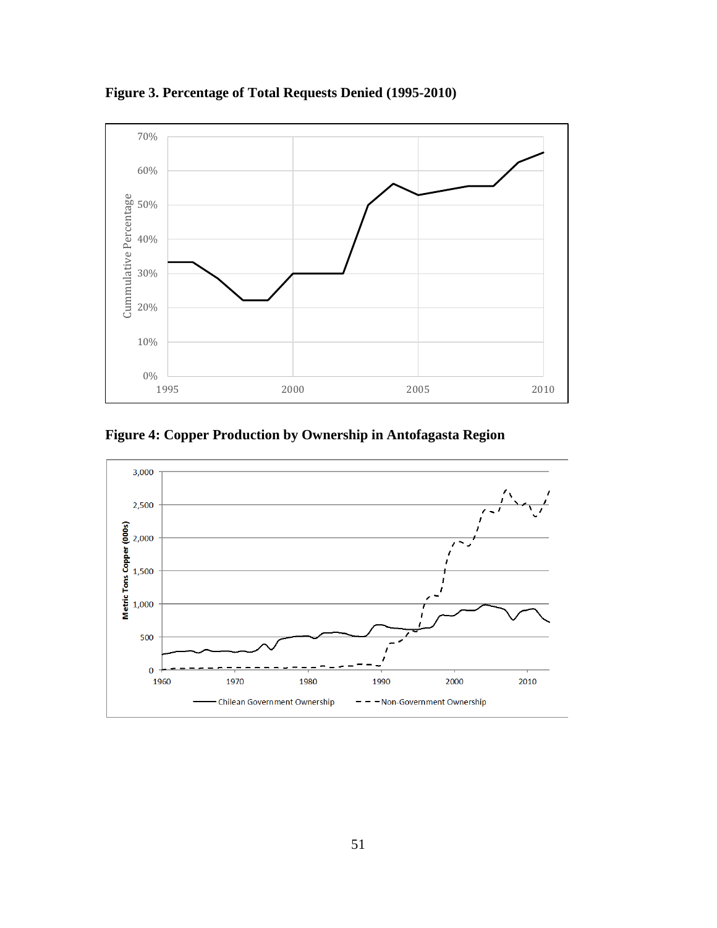

**Figure 3. Percentage of Total Requests Denied (1995-2010)**

**Figure 4: Copper Production by Ownership in Antofagasta Region**

<span id="page-51-3"></span><span id="page-51-2"></span><span id="page-51-1"></span><span id="page-51-0"></span>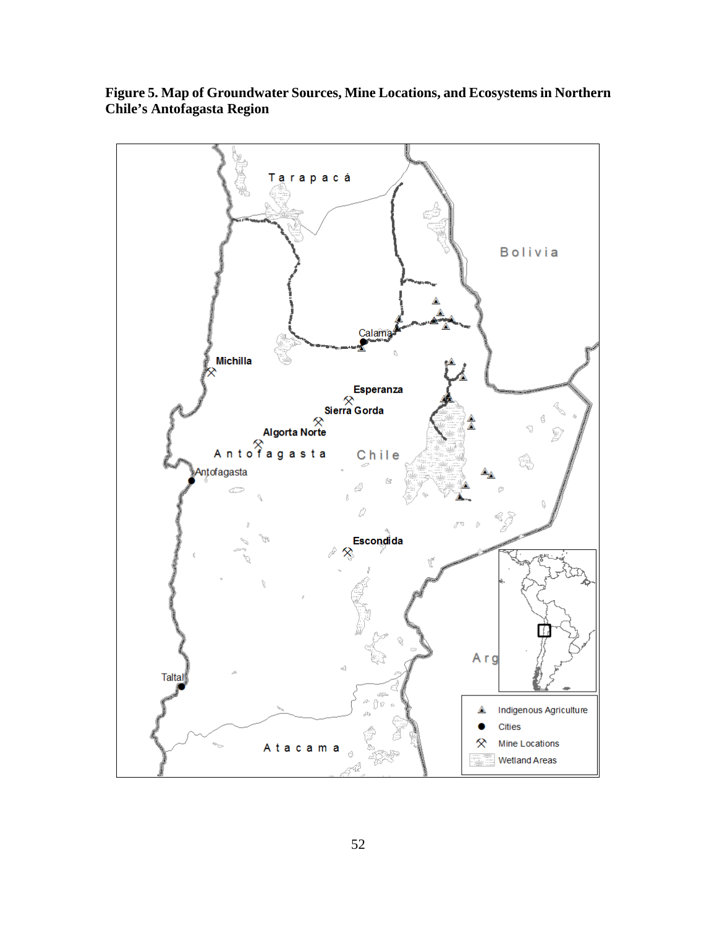<span id="page-52-2"></span><span id="page-52-1"></span><span id="page-52-0"></span>

**Figure 5. Map of Groundwater Sources, Mine Locations, and Ecosystems in Northern Chile's Antofagasta Region**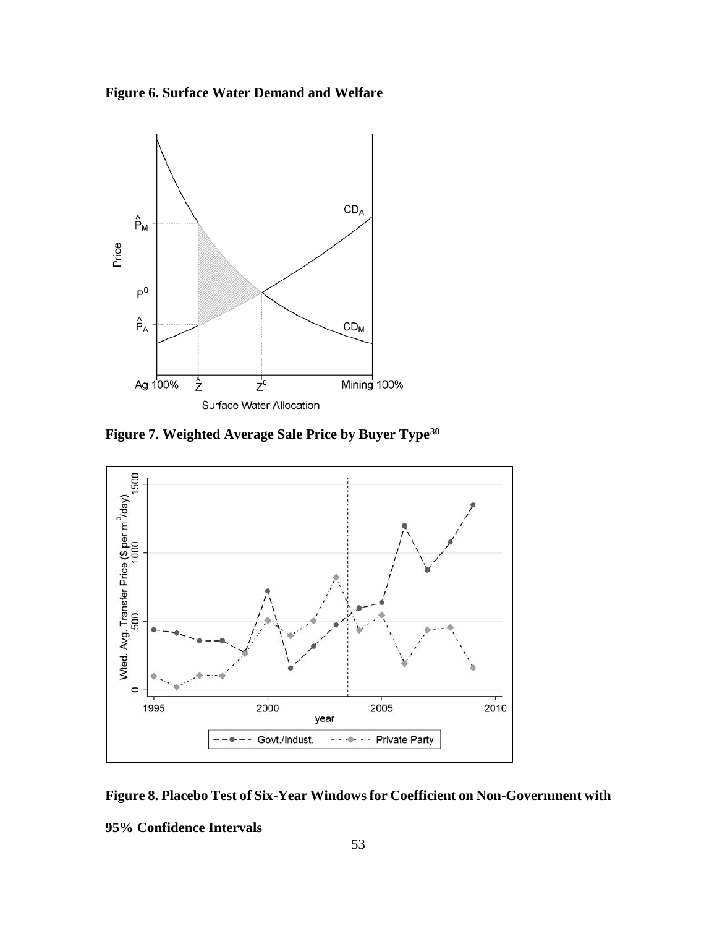**Figure 6. Surface Water Demand and Welfare** 



**Figure 7. Weighted Average Sale Price by Buyer Typ[e30](#page-54-4)**



<span id="page-53-0"></span>**Figure 8. Placebo Test of Six-Year Windows for Coefficient on Non-Government with** 

**95% Confidence Intervals**